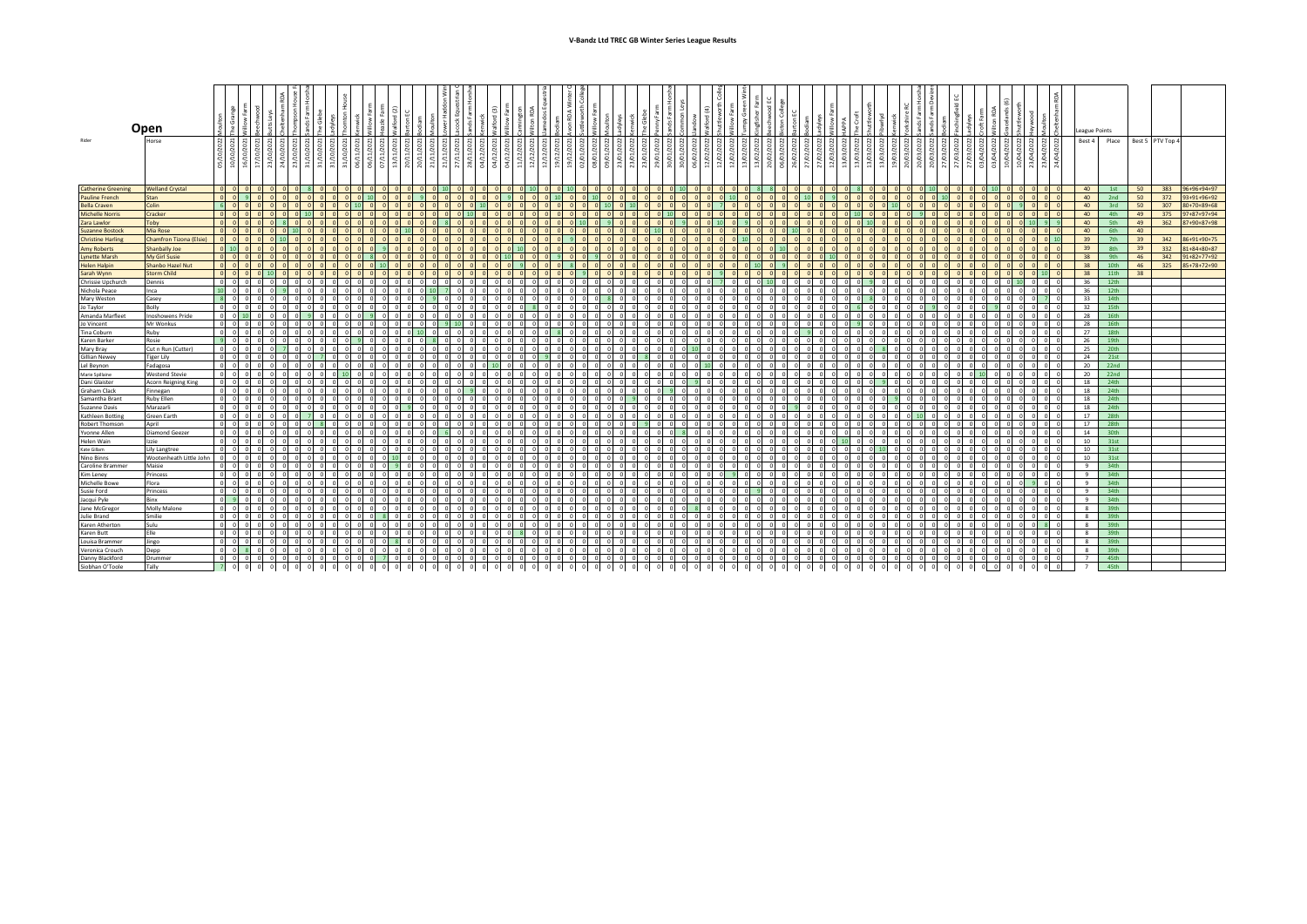|                           | Open                          |                                              |              |                   |          |                                      |                           |                |   |                         |     |                          |                |                       |                                                                                                                                                                                                                                                                                                                                                                                                                                                                                    |      | Fari<br>gt on                                | dos Eq |                                                                                                | $\leq$<br>ę                  |        |                            | ত                     |                        |              |                          |                                  |                | Green                         |                 |          |                |            |                                 |       |          |        |                 |          |        |        |                     |            |                                     | League Points  |                  |    |                  |     |                     |
|---------------------------|-------------------------------|----------------------------------------------|--------------|-------------------|----------|--------------------------------------|---------------------------|----------------|---|-------------------------|-----|--------------------------|----------------|-----------------------|------------------------------------------------------------------------------------------------------------------------------------------------------------------------------------------------------------------------------------------------------------------------------------------------------------------------------------------------------------------------------------------------------------------------------------------------------------------------------------|------|----------------------------------------------|--------|------------------------------------------------------------------------------------------------|------------------------------|--------|----------------------------|-----------------------|------------------------|--------------|--------------------------|----------------------------------|----------------|-------------------------------|-----------------|----------|----------------|------------|---------------------------------|-------|----------|--------|-----------------|----------|--------|--------|---------------------|------------|-------------------------------------|----------------|------------------|----|------------------|-----|---------------------|
| Rider                     | Horse                         | $2022$<br>$2021$<br>$\frac{1}{2}$<br>। हो हो | े हैं।<br>ੰਭ | ₫<br>ন্ন। ন       | ੁੰ।      | 10/2021<br>न्ने निजी ज्ञानि निशि है। | 10/2021                   |                |   |                         | -SI | $\frac{2}{3}$            | 11/2021<br>R Z | 11/2021<br>। ਜ਼ੋ      | $\begin{array}{c} \frac{1}{27} \text{min} \text{total} \\ \frac{1}{27} \text{min} \text{total} \\ \frac{1}{27} \text{min} \text{total} \\ \frac{1}{27} \text{min} \text{total} \\ \frac{1}{27} \text{min} \text{total} \\ \frac{1}{27} \text{min} \text{total} \\ \frac{1}{27} \text{min} \text{total} \\ \frac{1}{27} \text{min} \text{total} \\ \frac{1}{27} \text{min} \text{total} \\ \frac{1}{27} \text{min} \text{total} \\ \frac{1}{27} \text{min} \text{total} \\ \frac{1$ |      |                                              |        | 11/12/2021<br>12/12/2021<br>12/12/2021<br>19/12/2022<br>08/01/2022<br>08/01/2022<br>08/01/2022 |                              |        |                            | $\frac{23/01}{23/01}$ | 2022<br>ਡੋ             | র র          |                          | 2022<br>(02/2022)<br>g)<br>। ਬੇ। | $\frac{2}{3}$  | 13/02/2022<br>$\beta$<br>ब्रे | $\approx$<br>ୁମ | ്ട്      | 022<br>g       |            | 2022<br>2022<br>13/03/<br>ब्रे। |       | 28       |        | ප<br>ଛି । ଛି    | 27/03,   | ξI.    | g<br>g | 2022<br>ੋ<br>ਕੇ। ਕੇ | 04/2022    | 2022<br>$\frac{23}{94}$             | Best 4 Place   |                  |    | Best 5 PTV Top 4 |     |                     |
| <b>Catherine Greening</b> | <b>Welland Crystal</b>        | $ 0 $ $ 0 $                                  |              | $ 0 $ $ 0 $       | $\Omega$ |                                      | $\mathbf{R}$ $\mathbf{0}$ | 0 <sub>0</sub> |   | 0 <sub>0</sub>          |     | olololololo <sup>l</sup> |                |                       | 0 <sub>0</sub>                                                                                                                                                                                                                                                                                                                                                                                                                                                                     |      | $\Omega$ $\Omega$ $\Omega$ $\Omega$ $\Omega$ |        | $00$ $10$ $01$                                                                                 |                              |        |                            | alalalalal            |                        | $0$ $0$ $10$ |                          | 0 <sub>0</sub>                   | 0 <sub>0</sub> | 0 <sub>8</sub>                |                 |          | 0 <sub>0</sub> | $\sim$     | $\Omega$                        |       |          | $01$ 0 | 0 <sup>11</sup> |          |        |        |                     |            | 0 <sub>0</sub>                      | 40             | 1st              | 50 | 383              |     | 96+96+94+97         |
| <b>Pauline French</b>     | Stan                          | 0 0 9                                        |              | $0$ $0$           | $\circ$  |                                      | 0 <sub>0</sub>            |                |   |                         |     |                          |                |                       |                                                                                                                                                                                                                                                                                                                                                                                                                                                                                    |      | -91                                          |        | $0$ 10                                                                                         |                              |        |                            |                       |                        |              |                          |                                  |                |                               |                 |          |                |            |                                 |       |          |        |                 |          |        |        |                     |            | $\Omega$                            | 40             | 2nd              | 50 | 372              |     | 93+91+96+92         |
| <b>Bella Craven</b>       | Colin                         | $6$ 0                                        |              | 0 <sup>1</sup>    |          |                                      |                           |                |   |                         |     |                          |                |                       |                                                                                                                                                                                                                                                                                                                                                                                                                                                                                    |      |                                              |        |                                                                                                |                              |        |                            |                       |                        |              |                          |                                  |                |                               |                 |          |                |            |                                 |       |          |        |                 |          |        |        |                     |            |                                     | 40             | 3rd              | 50 | 307              |     | 80+70+89+68         |
| <b>Michelle Norris</b>    | Cracker                       | $ 0 $ $ 0 $                                  |              | $01$ 0            |          |                                      |                           |                |   |                         |     |                          |                |                       |                                                                                                                                                                                                                                                                                                                                                                                                                                                                                    |      |                                              |        |                                                                                                |                              |        |                            |                       |                        |              |                          | $\Omega$                         |                | $\Omega$                      |                 |          |                |            |                                 |       |          |        |                 |          |        |        |                     |            | $\Omega$                            | 40             | 4th              | 49 |                  | 375 | 97+87+97+94         |
| Zara Lawlor               | Toby                          | $0$ $0$                                      |              | 0 <sub>0</sub>    |          |                                      |                           |                |   |                         |     |                          |                |                       |                                                                                                                                                                                                                                                                                                                                                                                                                                                                                    |      |                                              |        |                                                                                                |                              |        |                            |                       |                        |              | $\Omega$                 |                                  |                |                               |                 |          |                |            |                                 |       |          |        |                 |          |        |        |                     |            |                                     | 40             | 5th              | 49 | 362              |     | 87+90+87+98         |
| <b>Suzanne Bostock</b>    | Mia Rose                      | $0$ 0                                        |              | $01$ 0            |          |                                      |                           |                |   |                         |     |                          |                |                       |                                                                                                                                                                                                                                                                                                                                                                                                                                                                                    |      |                                              |        |                                                                                                |                              |        |                            |                       |                        |              |                          |                                  |                |                               |                 |          |                |            |                                 |       |          |        |                 |          |        |        |                     |            | $\Omega$                            | 40             | 6th              | 40 |                  |     |                     |
| <b>Christine Harling</b>  | Chamfron Tizona (Elsie)       | $0$ $0$                                      |              | $\Omega$          |          |                                      |                           |                |   |                         |     |                          |                |                       |                                                                                                                                                                                                                                                                                                                                                                                                                                                                                    |      |                                              |        |                                                                                                |                              |        |                            |                       |                        |              |                          |                                  |                |                               |                 |          |                |            |                                 |       |          |        |                 |          |        |        |                     |            |                                     | 39             | 7th              | 39 | 342              |     | 86+91+90+75         |
| <b>Amy Roberts</b>        | <b>Shanbally Joe</b>          | $0$ 10                                       |              | 0 <sup>1</sup>    |          |                                      |                           |                |   |                         |     |                          |                |                       |                                                                                                                                                                                                                                                                                                                                                                                                                                                                                    |      |                                              |        |                                                                                                |                              |        |                            |                       |                        |              |                          |                                  |                |                               |                 |          |                |            |                                 |       |          |        |                 |          |        |        |                     |            | n                                   | 39             | 8th              | 39 | 332              |     | $81 + 84 + 80 + 87$ |
| <b>Lynette Marsh</b>      | My Girl Susie                 | $0$ 0                                        |              | 0 <sup>1</sup>    |          |                                      |                           |                |   |                         |     |                          |                |                       |                                                                                                                                                                                                                                                                                                                                                                                                                                                                                    |      |                                              |        |                                                                                                |                              |        |                            |                       |                        |              |                          |                                  |                |                               |                 |          |                |            |                                 |       |          |        |                 |          |        |        |                     |            | $\Omega$                            | 38             | 9th              | 46 |                  |     | 342 91+82+77+92     |
| <b>Helen Halpin</b>       | <b>Shanbo Hazel Nut</b>       | $0$ $0$                                      |              | 0 <sup>1</sup>    |          |                                      |                           |                |   |                         |     |                          |                |                       |                                                                                                                                                                                                                                                                                                                                                                                                                                                                                    |      |                                              |        |                                                                                                |                              |        |                            |                       |                        |              |                          |                                  |                |                               |                 |          |                |            |                                 |       |          |        |                 |          |        |        |                     |            |                                     | 38             | 10th             | 46 |                  |     | 325 85+78+72+90     |
| Sarah Wynn                | <b>Storm Child</b>            | $0$ $0$                                      |              | $0$ 10            |          |                                      |                           |                |   |                         |     |                          |                |                       |                                                                                                                                                                                                                                                                                                                                                                                                                                                                                    |      |                                              |        |                                                                                                |                              |        |                            |                       |                        |              |                          |                                  |                |                               |                 |          |                |            |                                 |       |          |        |                 |          |        |        |                     |            | 10 <sup>10</sup>                    | 38             | 11th             | 38 |                  |     |                     |
| Chrissie Upchurch         | Dennis                        | $0$ 0                                        |              | 0 <sub>0</sub>    |          |                                      |                           |                |   |                         |     |                          |                |                       |                                                                                                                                                                                                                                                                                                                                                                                                                                                                                    |      |                                              |        |                                                                                                |                              |        |                            |                       |                        |              |                          |                                  |                |                               |                 |          |                |            |                                 |       |          |        |                 |          |        |        |                     |            |                                     | 36             | 12th             |    |                  |     |                     |
| Nichola Peace             | Inca                          | $10$ 0                                       |              | 0 <sub>0</sub>    |          |                                      | $\Omega$                  |                |   |                         |     |                          |                |                       |                                                                                                                                                                                                                                                                                                                                                                                                                                                                                    |      |                                              |        |                                                                                                |                              |        |                            |                       |                        |              |                          |                                  |                |                               |                 |          |                |            |                                 |       | $\Omega$ |        |                 |          |        |        |                     |            | $\circ$                             | 36             | 12th             |    |                  |     |                     |
| Mary Weston               | Casey                         | 800                                          |              | 0 <sub>0</sub>    | $\Omega$ |                                      |                           |                |   |                         |     |                          |                |                       |                                                                                                                                                                                                                                                                                                                                                                                                                                                                                    |      |                                              |        |                                                                                                |                              |        |                            |                       |                        |              |                          |                                  |                | $\sim$                        |                 |          |                |            | $\Omega$                        |       | $\sim$   |        | $\sim$          |          |        |        |                     |            |                                     | 33             | 14th             |    |                  |     |                     |
| Jo Taylor                 | Bolly                         | $0$ 0                                        |              | $0$ 0             |          |                                      | $\Omega$                  |                |   |                         |     |                          |                |                       |                                                                                                                                                                                                                                                                                                                                                                                                                                                                                    |      |                                              |        |                                                                                                | $\Omega$                     |        |                            |                       |                        |              | $\Omega$                 |                                  |                | $\Omega$                      |                 |          |                |            |                                 |       | $\Omega$ |        |                 |          |        |        |                     |            | $\circ$                             | 32             | 15th             |    |                  |     |                     |
| Amanda Marfleet           | <b>Inoshowens Pride</b>       | $ 0 $ $ 0 $                                  |              | $\Omega$          |          |                                      |                           |                |   |                         |     |                          |                |                       |                                                                                                                                                                                                                                                                                                                                                                                                                                                                                    |      |                                              |        |                                                                                                |                              |        |                            |                       |                        |              |                          |                                  |                |                               |                 |          |                |            |                                 |       |          |        |                 |          |        |        |                     |            | $\Omega$                            | 28             | 16th             |    |                  |     |                     |
| Jo Vincent                | Mr Wonkus                     | $0$ 0                                        |              | $\sim$            |          |                                      |                           |                |   |                         |     |                          |                |                       |                                                                                                                                                                                                                                                                                                                                                                                                                                                                                    |      |                                              |        |                                                                                                |                              |        |                            |                       |                        |              |                          |                                  |                |                               |                 |          |                |            |                                 |       |          |        |                 |          |        |        |                     |            | $\circ$                             | 28             | 16th             |    |                  |     |                     |
| Tina Coburn               | Ruby                          | $0$ 0                                        |              | $0$ 0             | $\cap$   |                                      | $\Omega$                  |                |   |                         |     |                          |                |                       |                                                                                                                                                                                                                                                                                                                                                                                                                                                                                    |      |                                              |        |                                                                                                |                              |        |                            |                       |                        |              |                          |                                  |                |                               |                 |          |                |            |                                 |       |          |        |                 |          |        |        |                     |            | ി                                   | 27             | 18th             |    |                  |     |                     |
| Karen Barker              | Rosie                         | 900                                          |              | $\circ$           |          |                                      |                           |                |   |                         |     |                          |                |                       |                                                                                                                                                                                                                                                                                                                                                                                                                                                                                    |      |                                              |        |                                                                                                |                              |        |                            |                       |                        |              |                          |                                  |                |                               |                 |          |                |            |                                 |       |          |        |                 |          |        |        |                     |            | $\overline{0}$                      | 26             | 19th             |    |                  |     |                     |
| Mary Bray                 | Cut n Run (Cutter)            | $0$ 0                                        |              | 0 <sub>0</sub>    |          |                                      | $\cap$                    |                |   |                         |     |                          |                |                       |                                                                                                                                                                                                                                                                                                                                                                                                                                                                                    |      |                                              |        |                                                                                                |                              |        |                            |                       |                        |              |                          |                                  |                |                               |                 |          |                |            |                                 |       |          |        |                 |          |        |        |                     | $\Omega$   | $\circ$                             | 25             | 20th             |    |                  |     |                     |
| <b>Gillian Newey</b>      | <b>Tiger Lily</b>             | $0$ 0                                        |              | $\Omega$          |          |                                      |                           |                |   |                         |     |                          |                |                       |                                                                                                                                                                                                                                                                                                                                                                                                                                                                                    |      |                                              |        |                                                                                                |                              |        |                            |                       |                        |              |                          |                                  |                |                               |                 |          |                |            |                                 |       |          |        |                 |          |        |        |                     |            | $\Omega$                            | 24             | 21st             |    |                  |     |                     |
| Lel Beynon                | Fadagosa                      | $0$ 0                                        |              | $0$ 0             | $\Omega$ |                                      | $\circ$                   |                |   |                         |     |                          |                |                       |                                                                                                                                                                                                                                                                                                                                                                                                                                                                                    |      |                                              |        |                                                                                                |                              |        |                            |                       |                        |              |                          |                                  |                | $\Omega$                      |                 |          |                |            |                                 |       | $\Omega$ |        |                 |          |        |        |                     |            | $\circ$                             | 20             | 22nd             |    |                  |     |                     |
| Marie Spillaine           | <b>Westend Stevie</b>         | $0$ 0                                        |              |                   |          |                                      |                           |                |   |                         |     |                          |                |                       |                                                                                                                                                                                                                                                                                                                                                                                                                                                                                    |      |                                              |        |                                                                                                |                              |        |                            |                       |                        |              |                          |                                  |                |                               |                 |          |                |            |                                 |       |          |        |                 |          |        |        |                     |            | n                                   | 20             | 22nd             |    |                  |     |                     |
| Dani Glaister             | Acorn Reigning King           | $0$ 0                                        |              | $0$ 0             |          |                                      | $\circ$                   |                |   |                         |     |                          |                |                       |                                                                                                                                                                                                                                                                                                                                                                                                                                                                                    |      |                                              |        |                                                                                                |                              |        |                            |                       |                        |              |                          |                                  |                |                               |                 |          |                |            |                                 |       | $\circ$  |        |                 |          |        |        |                     |            | $\circ$                             | 18             | 24th             |    |                  |     |                     |
| Graham Clack              |                               | $0$ $0$                                      |              | nl n              | $\Omega$ |                                      |                           |                |   |                         |     |                          |                |                       |                                                                                                                                                                                                                                                                                                                                                                                                                                                                                    |      |                                              |        |                                                                                                |                              |        |                            |                       |                        |              |                          |                                  |                |                               |                 |          |                |            |                                 |       |          |        |                 |          |        |        |                     |            | $\circ$                             | 18             | 24th             |    |                  |     |                     |
| Samantha Brant            | Finnegan<br><b>Ruby Ellen</b> | $ 0 $ $ 0 $                                  |              | $0$ 0             |          |                                      |                           |                |   |                         |     |                          |                |                       |                                                                                                                                                                                                                                                                                                                                                                                                                                                                                    |      |                                              |        |                                                                                                |                              |        |                            |                       |                        |              | $\cap$                   |                                  |                | $\sim$                        |                 |          |                |            |                                 |       |          |        |                 |          |        |        |                     | $\Omega$   | $\circ$                             | 18             | 24th             |    |                  |     |                     |
| Suzanne Davis             | Marazarli                     | $0$ 0                                        |              | $\circ$           |          |                                      |                           |                |   |                         |     |                          |                |                       |                                                                                                                                                                                                                                                                                                                                                                                                                                                                                    |      |                                              |        |                                                                                                |                              |        |                            |                       |                        |              |                          |                                  |                |                               |                 |          |                |            |                                 |       |          |        |                 |          |        |        |                     |            | $\circ$                             | 18             | 24th             |    |                  |     |                     |
| Kathleen Botting          | <b>Green Earth</b>            | $0$ 0                                        |              | $\sim$            |          |                                      |                           |                |   |                         |     |                          |                |                       |                                                                                                                                                                                                                                                                                                                                                                                                                                                                                    |      |                                              |        |                                                                                                |                              |        |                            |                       |                        |              |                          |                                  |                |                               |                 |          |                |            |                                 |       |          |        |                 |          |        |        |                     |            | $\circ$                             | 17             | 28th             |    |                  |     |                     |
| Robert Thomson            | April                         | $0$ 0                                        |              | $\circ$           |          |                                      |                           |                |   |                         |     |                          |                |                       |                                                                                                                                                                                                                                                                                                                                                                                                                                                                                    |      |                                              |        |                                                                                                |                              |        |                            |                       |                        |              |                          |                                  |                |                               |                 |          |                |            |                                 |       |          |        |                 |          |        |        |                     |            | ി                                   | 17             | 28th             |    |                  |     |                     |
| Yvonne Allen              | Diamond Geezer                | $0$ 0                                        |              |                   |          |                                      |                           |                |   |                         |     |                          |                |                       |                                                                                                                                                                                                                                                                                                                                                                                                                                                                                    |      |                                              |        |                                                                                                |                              |        |                            |                       |                        |              |                          |                                  |                |                               |                 |          |                |            |                                 |       |          |        |                 |          |        |        |                     |            |                                     | 14             | 30th             |    |                  |     |                     |
| Helen Wain                | Izzie                         | $0$ 0                                        |              | 0 <sub>0</sub>    |          |                                      |                           |                |   |                         |     |                          |                |                       |                                                                                                                                                                                                                                                                                                                                                                                                                                                                                    |      |                                              |        |                                                                                                |                              |        |                            |                       |                        |              |                          |                                  |                |                               |                 |          |                |            |                                 |       |          |        |                 |          |        |        |                     |            | $\Omega$                            | 10             | 31st             |    |                  |     |                     |
| Kate Gillam               | Lily Langtree                 | $0$ 0                                        |              |                   |          |                                      |                           |                |   |                         |     |                          |                |                       |                                                                                                                                                                                                                                                                                                                                                                                                                                                                                    |      |                                              |        |                                                                                                |                              |        |                            |                       |                        |              |                          |                                  |                |                               |                 |          |                |            |                                 |       |          |        |                 |          |        |        |                     |            | $\circ$                             | 10             | 31st             |    |                  |     |                     |
| Nino Binns                | Wootenheath Little John       | $ 0 $ $ 0 $                                  |              | n In              |          |                                      |                           |                |   |                         |     |                          |                |                       |                                                                                                                                                                                                                                                                                                                                                                                                                                                                                    |      |                                              |        |                                                                                                |                              |        |                            |                       |                        |              |                          |                                  |                |                               |                 |          |                |            |                                 |       |          |        |                 |          |        |        |                     |            |                                     | 10             | 31st             |    |                  |     |                     |
| Caroline Brammer          | Maisie                        | $0$ 0                                        |              | $\circ$           |          |                                      |                           |                |   |                         |     |                          |                |                       |                                                                                                                                                                                                                                                                                                                                                                                                                                                                                    |      |                                              |        |                                                                                                |                              |        |                            |                       |                        |              |                          |                                  |                |                               |                 |          |                |            |                                 |       |          |        |                 |          |        |        |                     |            | $\Omega$                            | 9              | 34th             |    |                  |     |                     |
| Kim Leney                 | Princess                      | $0$ 0                                        |              | $\Omega$          |          |                                      |                           |                |   |                         |     |                          |                |                       |                                                                                                                                                                                                                                                                                                                                                                                                                                                                                    |      |                                              |        |                                                                                                |                              |        |                            |                       |                        |              |                          |                                  |                |                               |                 |          |                |            |                                 |       |          |        |                 |          |        |        |                     |            | nl                                  | 9              | 34th             |    |                  |     |                     |
| Michelle Bowe             | Flora                         | $0$ 0                                        |              | 0 <sub>0</sub>    | $\Omega$ |                                      | $\Omega$                  |                |   |                         |     |                          |                |                       |                                                                                                                                                                                                                                                                                                                                                                                                                                                                                    |      |                                              |        |                                                                                                |                              |        |                            |                       |                        |              |                          | $\sim$                           |                | $\sim$                        |                 |          |                |            | $\Omega$                        |       |          |        |                 |          |        |        |                     |            | $\Omega$                            | 9              | 34th             |    |                  |     |                     |
| Susie Ford                | Princess                      | $0$ 0                                        |              | $\Omega$          |          |                                      |                           |                |   |                         |     |                          |                |                       |                                                                                                                                                                                                                                                                                                                                                                                                                                                                                    |      |                                              |        |                                                                                                |                              |        |                            |                       |                        |              |                          |                                  |                |                               |                 |          |                |            |                                 |       |          |        |                 |          |        |        |                     |            | $\Omega$                            | 9              | 34 <sub>th</sub> |    |                  |     |                     |
|                           |                               |                                              |              |                   |          |                                      |                           |                |   |                         |     |                          |                |                       |                                                                                                                                                                                                                                                                                                                                                                                                                                                                                    |      |                                              |        |                                                                                                |                              |        |                            |                       |                        |              |                          |                                  |                |                               |                 |          |                |            |                                 |       |          |        |                 |          |        |        |                     | $\Omega$   |                                     |                | 34th             |    |                  |     |                     |
| Jacqui Pyle               | Binx<br>Molly Malone          | $01$ 9<br>$0$ 0                              |              | $0$ 0<br>$\Omega$ |          |                                      |                           |                |   |                         |     |                          |                |                       |                                                                                                                                                                                                                                                                                                                                                                                                                                                                                    |      |                                              |        |                                                                                                |                              |        |                            |                       |                        |              |                          |                                  |                |                               |                 |          |                |            |                                 |       |          |        |                 |          |        |        |                     |            | $\circ$<br>$\Omega$                 | 9<br>8         | 39th             |    |                  |     |                     |
| Jane McGregor             |                               |                                              |              |                   |          |                                      |                           |                |   |                         |     |                          |                |                       |                                                                                                                                                                                                                                                                                                                                                                                                                                                                                    |      |                                              |        |                                                                                                |                              |        |                            |                       |                        |              |                          |                                  |                |                               |                 |          |                |            |                                 |       |          |        |                 |          |        |        |                     |            | $\sqrt{2}$                          |                |                  |    |                  |     |                     |
| Julie Brand               | Smilie                        | $ 0 $ $ 0 $                                  |              | 0 <sub>0</sub>    |          |                                      |                           |                |   |                         |     |                          |                |                       |                                                                                                                                                                                                                                                                                                                                                                                                                                                                                    |      |                                              |        |                                                                                                |                              |        |                            |                       |                        |              |                          |                                  |                |                               |                 |          |                |            |                                 |       |          |        |                 |          |        |        |                     |            |                                     | 8              | 39th             |    |                  |     |                     |
| Karen Atherton            | Sulu                          | $0$ 0                                        |              | $\circ$           |          |                                      |                           |                |   |                         |     |                          |                |                       |                                                                                                                                                                                                                                                                                                                                                                                                                                                                                    |      |                                              |        |                                                                                                |                              |        |                            |                       |                        |              |                          |                                  |                |                               |                 |          |                |            |                                 |       |          |        |                 |          |        |        |                     |            |                                     | 8              | 39th             |    |                  |     |                     |
| Karen Butt                | Elle                          | $0$ 0                                        |              | $\sim$            |          |                                      |                           |                |   |                         |     |                          |                |                       |                                                                                                                                                                                                                                                                                                                                                                                                                                                                                    |      |                                              |        |                                                                                                |                              |        |                            |                       |                        |              |                          |                                  |                |                               |                 |          |                |            |                                 |       |          |        |                 |          |        |        |                     |            |                                     | $\mathbf{R}$   | 39th             |    |                  |     |                     |
| Louisa Brammer            | Jingo                         | $0$ 0                                        |              | $0$ 0             | $\Omega$ |                                      | $\sim$                    |                |   |                         |     |                          |                |                       | $\sim$                                                                                                                                                                                                                                                                                                                                                                                                                                                                             |      | ി<br>nl                                      |        | -n l                                                                                           | $\sqrt{2}$<br>$\sqrt{2}$     |        | n<br>$\sqrt{2}$            |                       | $\sqrt{2}$<br>$\Omega$ |              | $\Omega$<br>$\mathsf{a}$ | $\sqrt{2}$                       | $\circ$        | n l                           | $\sim$          | $\Omega$ |                | $\sqrt{2}$ | $\Omega$                        |       |          | nl n   | ΩL              |          |        |        |                     | $\sqrt{2}$ | n                                   | 8              | 39th             |    |                  |     |                     |
| Veronica Crouch           | Depp                          | $0$ 0                                        |              | $0$ 0             | $\Omega$ |                                      | $\circ$                   |                |   |                         |     |                          |                |                       |                                                                                                                                                                                                                                                                                                                                                                                                                                                                                    |      |                                              |        |                                                                                                | $-01$                        |        |                            |                       |                        |              | $\Omega$                 |                                  |                | $\Omega$                      | $\sim$          | $\sim$   |                |            | $\Omega$                        |       | $\circ$  |        |                 |          |        |        |                     |            | $\circ$                             | 8              | 39th             |    |                  |     |                     |
| Danny Blackford           | Drummer                       | $0$ 0                                        |              | $\circ$           | $\circ$  |                                      | $\circ$                   | $\circ$        | ി | $\overline{\mathbf{0}}$ |     | ി                        | $\overline{0}$ | $\circ$<br>$\sqrt{2}$ |                                                                                                                                                                                                                                                                                                                                                                                                                                                                                    | -o l | $\circ$<br>$\sqrt{2}$                        |        | $\circ$                                                                                        | $\overline{0}$<br>$\sqrt{2}$ | $\sim$ | $\overline{0}$<br>$\Omega$ |                       | $\sqrt{2}$<br>$\circ$  | $\Omega$     | $\Omega$<br>$\sim$       | $\Omega$<br>$\sqrt{2}$           |                | $\Omega$                      | $\sim$          | $\Omega$ | $\Omega$       | $\Omega$   | $\Omega$                        |       | $\circ$  |        |                 | $\Omega$ | $\sim$ |        |                     | $\sqrt{2}$ | nl                                  | $\overline{7}$ | 45th             |    |                  |     |                     |
| Siobhan O'Toole           | Tally                         | 7 0                                          | $^{\circ}$   | $0$ 0             |          | $0$ 0                                | $0$ 0 0 0                 |                |   |                         |     | 0 0 0 0 0 0 0 0          |                |                       | $0$ $0$ $0$ $0$                                                                                                                                                                                                                                                                                                                                                                                                                                                                    |      |                                              |        |                                                                                                |                              |        | $0$ 0 0                    |                       | $\circ$                | $0$ 0        | $\bullet$<br>$\circ$     | $\overline{\mathbf{0}}$          | $0$ 0          | $0$ 0                         | $ 0 $ 0         |          | $0$ 0          | $0$ 0      | $0$ 0                           | $0$ 0 |          | $0$ 0  | $0$ 0           | $0$ 0    | $0$ 0  |        | $0$ $0$ $0$ $0$     |            | $\circ$<br>$\overline{\phantom{0}}$ | $\overline{7}$ | 45th             |    |                  |     |                     |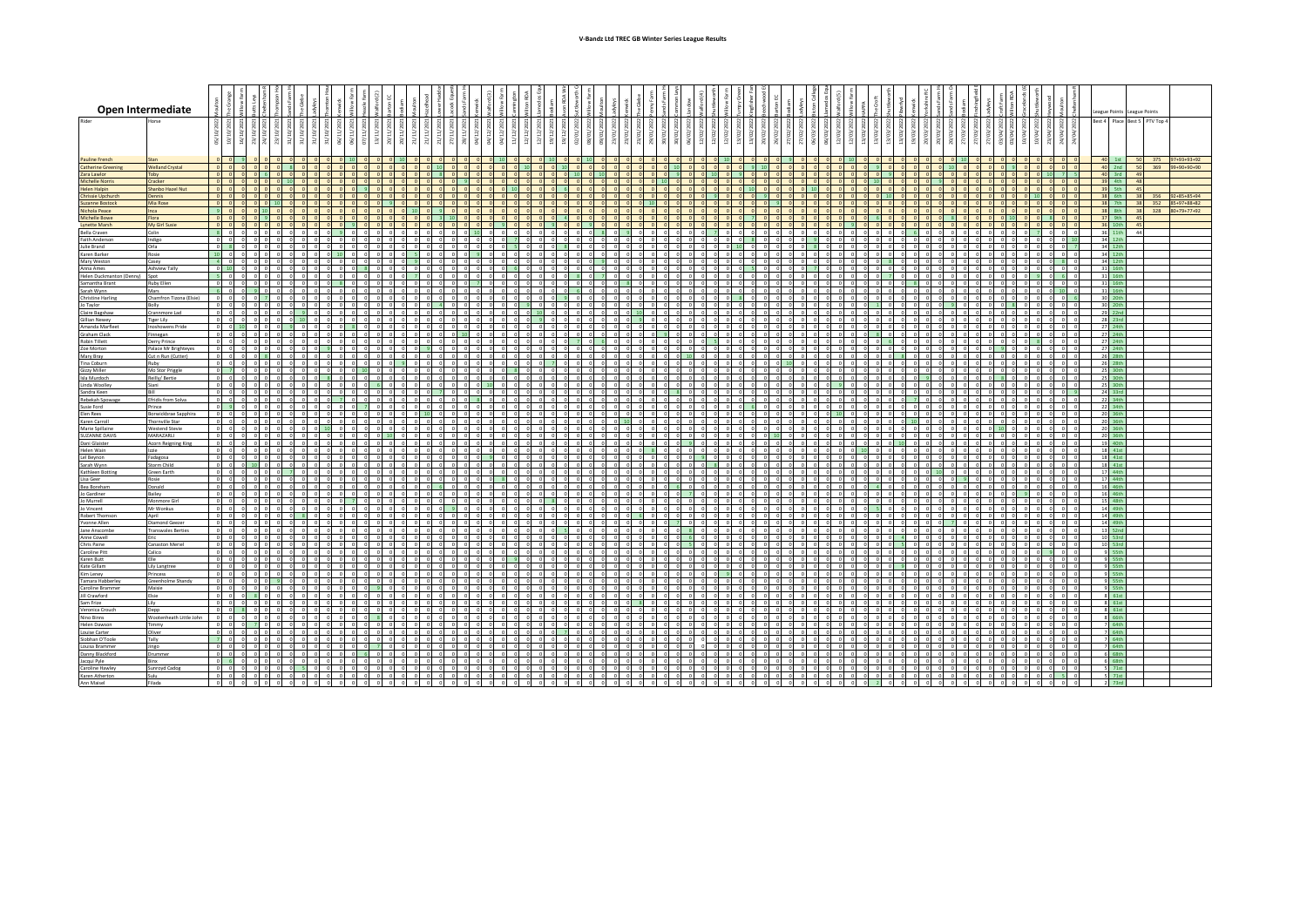|                                                 | Open Intermediate                          |                                                                                                                   |                 |                 |                                                      |                                        |                                      |                                                                        |          |                |                      |            |                                     |                |                         |         |          |  |  |  |  |         |  |  |                  |                          |  |       |                          |                |         |       |  |          |             |                 |          |                                         |                         |        | League Points League Points                    |              |           |                 |  |
|-------------------------------------------------|--------------------------------------------|-------------------------------------------------------------------------------------------------------------------|-----------------|-----------------|------------------------------------------------------|----------------------------------------|--------------------------------------|------------------------------------------------------------------------|----------|----------------|----------------------|------------|-------------------------------------|----------------|-------------------------|---------|----------|--|--|--|--|---------|--|--|------------------|--------------------------|--|-------|--------------------------|----------------|---------|-------|--|----------|-------------|-----------------|----------|-----------------------------------------|-------------------------|--------|------------------------------------------------|--------------|-----------|-----------------|--|
| Rider                                           |                                            |                                                                                                                   |                 |                 |                                                      |                                        |                                      |                                                                        |          |                |                      |            |                                     |                |                         |         |          |  |  |  |  |         |  |  |                  |                          |  |       |                          |                |         |       |  |          |             |                 |          |                                         |                         | Best 4 |                                                | Place Best 5 | PTV Top 4 |                 |  |
|                                                 |                                            | $\frac{50}{20}$<br>े                                                                                              |                 |                 |                                                      |                                        |                                      |                                                                        |          |                |                      |            |                                     |                |                         |         |          |  |  |  |  |         |  |  |                  |                          |  |       |                          |                |         |       |  |          |             |                 | .Q/O4    |                                         |                         |        |                                                |              |           |                 |  |
|                                                 |                                            |                                                                                                                   |                 |                 |                                                      |                                        |                                      |                                                                        |          |                |                      |            |                                     |                |                         |         |          |  |  |  |  |         |  |  |                  |                          |  |       |                          |                |         |       |  |          |             |                 |          |                                         |                         |        |                                                |              |           |                 |  |
| <b>Pauline French</b>                           |                                            |                                                                                                                   |                 |                 |                                                      |                                        |                                      |                                                                        |          |                |                      |            |                                     |                |                         |         |          |  |  |  |  |         |  |  |                  |                          |  |       |                          |                |         |       |  |          |             |                 |          |                                         |                         |        | $40$ 1st                                       |              |           | 375 97+93+93+92 |  |
| <b>Catherine Greening</b><br>Zara Lawlor        | <b>Welland Crystal</b><br>Toby             | $0$ $0$ $0$                                                                                                       | $0$ 0           |                 |                                                      | 8                                      |                                      |                                                                        |          |                |                      |            |                                     |                |                         |         |          |  |  |  |  |         |  |  |                  |                          |  |       |                          |                |         |       |  |          |             |                 |          |                                         |                         |        | 40 2nd                                         | 50           |           | 369 99+90+90+90 |  |
| Michelle Norris                                 | Cracker                                    | 0 0 0                                                                                                             |                 |                 |                                                      | 10 <sup>1</sup>                        |                                      |                                                                        |          |                |                      |            |                                     |                |                         |         |          |  |  |  |  |         |  |  |                  |                          |  |       |                          |                |         |       |  |          |             |                 |          | $0$ 0                                   |                         |        | $\frac{40}{39}$ ard                            |              |           |                 |  |
| <b>Helen Halpin</b><br><b>Chrissie Upchurch</b> | Shanbo Hazel Nut                           | 0 0 0 0<br>$0$ $0$ $0$                                                                                            |                 |                 | 0 0                                                  | 0 <br>$ 0 $ 0                          |                                      |                                                                        |          |                |                      |            |                                     |                |                         |         |          |  |  |  |  |         |  |  |                  |                          |  |       |                          |                |         |       |  |          |             |                 |          |                                         |                         |        | 39 5th<br>38 6th                               |              | 356       | 92+85+85+94     |  |
| <b>Suzanne Bostock</b>                          | Mia Rose                                   | $0$ $0$ $0$                                                                                                       |                 |                 |                                                      | 0                                      |                                      |                                                                        |          |                |                      |            |                                     |                |                         |         |          |  |  |  |  |         |  |  |                  |                          |  |       |                          |                |         |       |  |          |             |                 |          |                                         |                         |        | 38 7th                                         |              |           | 352 85+97+88+82 |  |
| Nichola Peace<br><b>Michelle Bowe</b>           | Flora                                      |                                                                                                                   |                 |                 |                                                      | $n$ $n$                                |                                      | $0$ $0$ $0$                                                            |          |                | 0 <sub>0</sub>       |            | $\Omega$                            |                |                         |         |          |  |  |  |  |         |  |  |                  |                          |  |       |                          |                |         |       |  |          |             |                 |          | $0 \times 0$                            |                         |        | 38 8th                                         |              |           | 328 80+79+77+92 |  |
| <b>Lynette Marsh</b>                            | My Girl Susie                              | $0$ $0$ $0$                                                                                                       |                 |                 | $\circ$                                              | $ 0 $ 0                                |                                      |                                                                        |          |                |                      |            |                                     |                |                         |         |          |  |  |  |  |         |  |  |                  |                          |  |       |                          |                |         |       |  |          |             |                 |          |                                         |                         |        | 36 10th                                        |              |           |                 |  |
| Bella Craven<br>Faith Anderson                  | Colin<br>Indigo                            | 8 0 0 0 0 0<br>$\overline{\bullet}$                                                                               | $0$ 0           |                 | $\circ$                                              | $0$ 0<br>$0$ $0$                       | $\circ$                              | $0 \quad 9 \quad 0$<br>$ 0 $ $ 0 $                                     |          |                | $0$ 0<br>$0$ 0       |            | $0$ 0<br>$\circ$                    |                | $0$ 10<br>$0$ 0         |         | -0 -0    |  |  |  |  | 0101    |  |  | $0$ $0$<br>ol ol |                          |  |       |                          | nl             |         |       |  |          | n In        | n n<br>000      |          | 700<br>$\Omega$                         | 0001                    |        | $\frac{36}{34}$ 11th                           |              |           |                 |  |
| Julie Brand                                     | Orla                                       | 0 8 0 0 0 0                                                                                                       |                 |                 |                                                      | $0$ 0                                  | $\circ$                              | $0$ 0 0                                                                |          |                | $0$ 0                |            | $\circ$                             |                |                         | $\circ$ |          |  |  |  |  |         |  |  |                  |                          |  |       |                          |                |         |       |  |          |             | $0$ 0           | $\Omega$ |                                         |                         |        | 34 12th                                        |              |           |                 |  |
| Karen Barker<br>Mary Weston                     | Rosie<br>Casey                             | $10$ 0 0<br>$\begin{array}{ccc} 4 & 0 & 0 \end{array}$                                                            |                 | $^{\circ}$      | $\sqrt{ }$<br>$\circ$                                | $0$ 0                                  |                                      | $0 - 10$<br>$0$ 0 0                                                    |          |                | $0$ 0                |            |                                     |                | $0$ 0                   |         |          |  |  |  |  |         |  |  |                  | $\sim$                   |  |       |                          | $\overline{0}$ |         |       |  | $\Omega$ |             | 000             |          |                                         |                         |        | 34 12th<br>34 12th                             |              |           |                 |  |
| Anna Ames                                       | Ashview Tally<br>Spot                      | 500                                                                                                               | - ni            |                 | $0$ $0$ $0$                                          | $0$ 0                                  | $\sim$                               | $\begin{array}{c c c c c c} 0 & 0 & 0 \\ \hline 0 & 0 & 0 \end{array}$ |          |                | 0 0                  |            |                                     | $\sim$         | 0 <sup>1</sup>          | $\sim$  | $\Omega$ |  |  |  |  |         |  |  |                  | $\sim$                   |  | n In  |                          |                |         |       |  | $\sim$   |             | n In            |          | 0 <sub>0</sub>                          |                         |        | $\frac{31}{31}$ $\frac{16}{}$<br>$\frac{16}{}$ |              |           |                 |  |
| Helen Duckmanton (Denny)<br>Samantha Brant      | Ruby Ellen                                 | $ 0 $ $ 0 $                                                                                                       |                 |                 | $\circ$                                              |                                        |                                      | $0$ 8                                                                  |          |                |                      |            |                                     |                |                         |         |          |  |  |  |  |         |  |  |                  |                          |  |       |                          |                |         |       |  |          |             |                 |          |                                         |                         |        | 31 16th                                        |              |           |                 |  |
| Sarah Wynn                                      | Mars<br>Chamfron Tizona (Elsie)            | 6 0 0 9 0 0                                                                                                       | $0$ 0           |                 | $\overline{7}$                                       | $0$ 0<br>0 <sup>1</sup>                | $\circ$                              | $0$ 0 0<br>$0$ 0 0                                                     |          |                | $0$ 0                | $\circ$    | $\overline{0}$                      | $\overline{0}$ | $0$ 0                   | $\circ$ | $0$ 0    |  |  |  |  | $0$ $0$ |  |  | ol ol            |                          |  | n In  | $0$ 0                    |                | $\circ$ |       |  | $\circ$  |             | $0$ 0           |          | $\circ$<br>$0$ 10                       |                         |        | 31 16th                                        |              |           |                 |  |
| <b>Christine Harling</b><br>Jo Taylor           | Bolly                                      | $\overline{\circ}$ $\overline{\circ}$ $\overline{\circ}$ $\overline{\circ}$ $\overline{\circ}$ $\overline{\circ}$ |                 |                 |                                                      | 0 0                                    | $\Omega$                             | $0$ 0 0                                                                |          |                | $0$ 0                |            |                                     |                |                         |         |          |  |  |  |  |         |  |  |                  | $\overline{0}$           |  |       |                          |                |         |       |  |          |             |                 |          | $0$ 0                                   |                         |        | 30 20th                                        |              |           |                 |  |
| Claire Bagshaw<br>Gillian Newey                 | Crannmore Lad<br>Tiger Lily                | $0$ 0 0                                                                                                           |                 | $\sim$          | $\bullet$                                            | 0 <sup>2</sup><br>$0$ 10               | $\Omega$                             | $0$ $0$ $0$<br>$0$ $0$ $0$                                             |          |                | $n - n$<br>$0$ 0     |            | $\overline{a}$<br>$\circ$           |                | 0 <sup>1</sup>          |         | $01$ 0   |  |  |  |  |         |  |  |                  | $\Omega$                 |  |       |                          | $\sqrt{2}$     |         |       |  |          |             | ol o            |          | $0$ 0                                   | 0 <sub>0</sub>          |        | 29 22nd<br>28 23rd                             |              |           |                 |  |
| Amanda Marfler                                  | noshowens Pride                            | $0 \t 0 \t 10$                                                                                                    |                 |                 | $\circ$                                              | $9$ 0                                  |                                      | $0 \quad 8$                                                            |          |                | $0$ 0                |            | $\circ$                             |                |                         |         |          |  |  |  |  |         |  |  |                  |                          |  |       |                          |                |         |       |  |          |             |                 |          | $0$ 0                                   |                         |        | 27 24th                                        |              |           |                 |  |
| Graham Clack<br>Robin Tillett                   | innegan<br>Derry Prince                    | $0$ $0$ $0$<br>0 0 0 0 0 0                                                                                        |                 |                 |                                                      | $0$ $0$<br>000                         |                                      | $0$ 0 0<br>$0$ $0$ $0$                                                 |          |                | $0$ 0<br>$0$ 0       |            | $\circ$<br>$\circ$                  |                |                         |         |          |  |  |  |  |         |  |  |                  |                          |  |       |                          |                |         |       |  |          |             |                 |          |                                         | $ 0 $ $ 0 $ $ 0 $       |        | 27 24th<br>27 24th                             |              |           |                 |  |
| Zoe Morton                                      | Palace Mr Brighteyes                       | $\circ$ $\circ$ $\circ$ $\circ$ $\circ$                                                                           |                 |                 |                                                      | $0$ 0                                  |                                      | 900                                                                    |          |                | $0$ 0                |            | $\circ$                             |                |                         |         |          |  |  |  |  |         |  |  |                  |                          |  |       |                          |                |         |       |  |          |             |                 |          |                                         |                         |        | 27 24th                                        |              |           |                 |  |
| Mary Bray<br>Tina Coburn                        | Cut n Run (Cutter)<br>Ruby                 |                                                                                                                   |                 |                 |                                                      | $0$ 0<br>$0$ 0                         | $\Omega$<br>$\overline{\phantom{a}}$ | $0$ 0 0<br>$\circ$                                                     |          |                | $ 0 $ $ 0 $<br>$0$ 0 |            | $ 0 $ 0<br>$\circ$                  |                | n In                    |         | n        |  |  |  |  | ol ol   |  |  | ol ol            |                          |  |       |                          | nl             |         |       |  |          |             | n In            |          |                                         | 0100                    |        | 26 28th<br>26 28th                             |              |           |                 |  |
| Gizzy Miller                                    | Mo Stor Priggle                            | $0$ 7 0 0 0 0                                                                                                     |                 |                 |                                                      | $0$ 0                                  |                                      |                                                                        | 0 0 0 10 |                |                      |            | $\circ$                             |                |                         |         |          |  |  |  |  |         |  |  |                  |                          |  |       |                          |                |         |       |  |          |             |                 |          |                                         |                         |        | 25 30th                                        |              |           |                 |  |
| Isla Murdoch<br>Linda Woolley                   | Reilly/ Bertie<br>Siani                    | $0$ $0$ $0$<br>$0 \qquad 0 \qquad 0 \qquad 0$                                                                     |                 |                 | $\mathbf{0}$<br>$\circ$                              | $0$ $0$<br>$0$ 0                       |                                      | $0$ 0 0                                                                |          |                | $6$ 0                |            | $\circ$                             |                | $\overline{\mathbf{0}}$ |         |          |  |  |  |  |         |  |  |                  | $\sim$                   |  |       |                          |                |         |       |  |          |             |                 |          |                                         | 0101                    |        | 25 30th<br>25 30th                             |              |           |                 |  |
| Sandra Keen<br>Rebekah Soowar                   | <b>Efridis from Solva</b>                  | $\overline{0}$                                                                                                    |                 |                 | $\mathbf{0}$                                         | $0$ 0<br>0 0                           | $\Omega$                             | 0 <sub>z</sub> < 0 <sub>z</sub>                                        |          |                | $0$ 0                |            | $0$ 0                               |                |                         |         |          |  |  |  |  |         |  |  | ol ol            |                          |  |       |                          |                |         |       |  |          |             | 0 0             |          | $\circ$                                 |                         |        | 24 33rd<br>22 34th                             |              |           |                 |  |
|                                                 | Prince                                     | $01$ 9 $01$                                                                                                       |                 |                 | n.                                                   | n In                                   |                                      |                                                                        |          |                | $0$ 0                |            | $\sim$                              |                | $0$ 8                   |         |          |  |  |  |  |         |  |  |                  |                          |  |       |                          |                |         |       |  |          |             |                 |          |                                         | $0$ $0$ $0$ $0$<br>ol o |        | 22 34th                                        |              |           |                 |  |
| Susie Ford<br>Elen Rees<br>Karen Carroll        | Borwickbrae Sapphira<br>Thornville Star    | $0$ 0 0                                                                                                           |                 |                 | $0$ 0                                                | $0$ 0<br>$0$ $0$                       |                                      | $0$ 0 0                                                                |          |                | $0$ 0                |            |                                     |                |                         |         |          |  |  |  |  |         |  |  |                  |                          |  |       | $\overline{0}$           |                |         |       |  | $\circ$  |             | 000             |          | $0$ 0                                   |                         |        | 20 36th<br>20 36th                             |              |           |                 |  |
| Marie Spillaine                                 | Westend Stevie                             | $\circ$                                                                                                           | $0$ 0           |                 | $\circ$                                              | $0$ 0                                  |                                      | $0$ $0$ $0$<br>$0 \t 10 \t 0 \t 0$                                     |          |                | $0$ 0<br>$0$ 0       |            | $\overline{\phantom{a}}$<br>$0$ 0   |                | $ 0 $ 0<br>$0$ 0        | $\circ$ |          |  |  |  |  |         |  |  | $ 0 $ $ 0 $      |                          |  |       |                          |                | $\circ$ |       |  | $\circ$  |             |                 |          | $0 \quad 0 \quad 0$<br>$0$ 0<br>$\circ$ |                         |        | 20 36th                                        |              |           |                 |  |
| <b>SUZANNE DAVIS</b><br>Dani Glaister           | MARAZARLI<br><b>Acorn Reigning King</b>    | $\circ$ $\circ$ $\circ$<br>$0$ 0 0 0 0                                                                            |                 |                 | $\circ$                                              | $01$ 0<br>$0$ 0                        | $\circ$<br>$\circ$                   | $\circ$<br>$0$ 0 0                                                     |          |                | $0$ 10<br>$0$ 0      |            | $\circ$<br>$0$ 0                    |                | 0 0                     |         |          |  |  |  |  |         |  |  |                  |                          |  |       |                          |                |         |       |  |          |             | 000             |          | $ 0 $ $ 0 $                             | $0$ $0$                 |        | 20 36th<br>19 40th                             |              |           |                 |  |
| Helen Wain                                      | lzzie -                                    |                                                                                                                   | $\circ$ $\circ$ |                 | $\Omega$                                             | $0$ 0                                  |                                      | $0$ $0$ $0$                                                            |          |                | $0$ 0                |            | $\circ$                             |                | 0 <sup>1</sup>          |         |          |  |  |  |  |         |  |  |                  | $\Omega$                 |  |       |                          |                |         |       |  |          |             |                 |          |                                         | n ni                    |        | 18 41st                                        |              |           |                 |  |
| Lel Beynon<br>Sarah Wynn                        | Fadagosa<br>Storm Child                    | $0$ 0<br>$0 \qquad 0 \qquad 0 \qquad 10$                                                                          |                 |                 | $\circ$<br>n In                                      | $0$ 0<br>n In                          |                                      | $0$ 0 0<br>ol ol ol                                                    |          |                | $0$ 0<br>ol o        |            | $\circ$<br>$\overline{\phantom{a}}$ |                |                         |         |          |  |  |  |  |         |  |  |                  |                          |  |       |                          |                |         |       |  |          |             |                 |          |                                         |                         |        | 18 41st<br>18 41st                             |              |           |                 |  |
| Kathleen Botting                                | Green Earth                                | $0$ $0$ $0$                                                                                                       |                 |                 |                                                      |                                        |                                      | $0$ 0                                                                  |          |                | $n - n$              |            | $\overline{\phantom{a}}$            |                |                         |         |          |  |  |  |  |         |  |  |                  |                          |  |       |                          |                |         |       |  |          |             |                 |          |                                         |                         |        | 17 44th                                        |              |           |                 |  |
| Lisa Geer<br><b>Bea Borehan</b>                 | Rosie<br>Donald                            | $0$ 0 0<br>$\overline{0}$ $\overline{0}$                                                                          |                 |                 | $\circ$<br>$\circ$                                   | $0$ 0<br>$\overline{0}$ $\overline{0}$ |                                      | $0$ 0 0<br>$0$ 0 0                                                     |          |                | $0$ 0<br>$0$ 0       |            |                                     |                |                         |         |          |  |  |  |  |         |  |  |                  |                          |  |       |                          |                |         |       |  |          |             |                 |          | $0$ 0                                   |                         |        | 17 44th<br>16 46th                             |              |           |                 |  |
| Jo Gardiner                                     | Bailey                                     | $0$ $0$                                                                                                           |                 | $0$ $0$ $0$ $0$ |                                                      | $0$ 0                                  | $\Omega$                             | $0$ $0$ $0$                                                            |          |                | $0$ 0                |            | $\sim$                              | $\Omega$       |                         | $\sim$  |          |  |  |  |  |         |  |  |                  |                          |  |       |                          |                |         |       |  |          |             |                 |          |                                         | 0 0 0                   |        | 16 46th                                        |              |           |                 |  |
| Jo Murrell<br>Jo Vincent                        | Monmore Girl<br>Mr Wonkus                  | $0$ 0 0 0<br>$0$ 0 0                                                                                              |                 |                 | $\circ$<br>$\circ$                                   | $0$ 0<br>$0$ 0                         |                                      | $0$ $0$ $7$<br>$0$ 0 0                                                 |          |                | $0$ $0$<br>$0$ 0     |            | 0 0<br>$\circ$                      |                | 0 0<br>0 <sup>1</sup>   |         |          |  |  |  |  |         |  |  |                  |                          |  |       | $\overline{\phantom{0}}$ |                |         |       |  |          |             | n In            |          | $ 0 $ $ 0 $                             | $ 0 $ $ 0 $             |        | 15 48th<br>14 49th                             |              |           |                 |  |
| Robert Thomson                                  | April                                      | $\circ$ $\circ$ $\circ$ $\circ$ $\circ$ $\circ$                                                                   | $\circ$         |                 |                                                      | 0<br>$0$ 0                             | $\Omega$                             | $0 \quad 0$<br>o o o                                                   |          |                | $0$ 0<br>$0$ $0$ $0$ |            | $0$ 0                               |                | $0$ 0                   | n I     | ol o     |  |  |  |  |         |  |  | 0 <sub>0</sub>   | $\overline{\phantom{0}}$ |  | ol ol | ol ol                    |                |         | ol ol |  |          | . n.l. n.l. | olololo         |          | $0$ 0                                   | $00$ $00$ $00$          |        | 14 49th<br>14 49th                             |              |           |                 |  |
| Yvonne Allen<br>Jane Anscombe                   | Diamond Geeze<br><b>Transwales Berties</b> | $0$ $0$ $0$                                                                                                       |                 |                 | n L                                                  | $01$ 0                                 |                                      | $\circ$ $\circ$                                                        |          |                | $0$ $0$              |            | $\circ$                             |                | $0$ $0$                 |         | $\sim$   |  |  |  |  |         |  |  |                  |                          |  |       |                          |                |         |       |  |          |             | 0 <sub>0</sub>  |          | n In                                    |                         |        | 13 52nd                                        |              |           |                 |  |
| Anne Cowell<br>Chris Paine                      | Canaston Meriel                            | $0$ 0 0<br>$0$ 0 0                                                                                                |                 |                 | $0$ 0<br>$\circ$                                     | $0$ $0$<br>$0$ 0                       | $\circ$                              | $0\quad 0\quad 0$<br>$0$ 0                                             |          |                | $0$ 0<br>$0$ 0       |            | $0$ 0                               |                | $0$ $0$                 |         |          |  |  |  |  |         |  |  | $0$ 0            |                          |  |       |                          |                |         |       |  |          |             | 000             |          | $\circ$<br>000                          |                         |        | 10 53rd<br>10 53rd                             |              |           |                 |  |
| Caroline Pitt                                   | Calico                                     | $\circ$<br>$\circ$                                                                                                |                 |                 | $0$ 0                                                | $ 0 $ 0                                |                                      |                                                                        | 0 0      |                | $0$ $0$              |            | $\overline{\phantom{a}}$            |                |                         |         |          |  |  |  |  |         |  |  |                  |                          |  |       |                          |                |         |       |  |          |             |                 |          |                                         |                         |        | 9 55th                                         |              |           |                 |  |
| Karen Butt<br>Kate Gillam                       | Lily Langtree                              | $0$ 0 0<br>$0$ $0$ $0$                                                                                            |                 | $\circ$         | $\circ$<br>$0$ 0                                     | $0$ 0<br>$0$ 0                         | $\circ$                              | $\circ$<br>$0$ 0 0                                                     |          |                | $0$ 0<br>$0$ 0       |            | $\circ$<br>$0$ 0                    |                | 0 0<br>$0$ 0            |         |          |  |  |  |  |         |  |  |                  |                          |  |       |                          |                |         |       |  |          |             | $\sim$          |          | $ 0 $ $ 0 $                             | $0$ 0                   |        | $9$ 55th<br>9 55th                             |              |           |                 |  |
| Kim Leney                                       | Princess                                   |                                                                                                                   | ol ol           |                 | $\circ$                                              | $0$ 0                                  | $\circ$                              | 0 O                                                                    |          |                | $0$ 0                |            | $\circ$                             |                | $0$ 0                   |         |          |  |  |  |  |         |  |  |                  | $\overline{0}$           |  |       |                          |                |         |       |  |          |             |                 |          | $0$ 0                                   |                         |        | $9$ 55th                                       |              |           |                 |  |
| Tamara Habberle<br>Caroline Brammer             | Greenholme Shandy<br>Maisie                | $00$ $00$                                                                                                         |                 | $\sqrt{2}$      | - n l                                                | $0$ 0<br>n In                          | $\Omega$                             | $0$ 0 0<br>n n                                                         |          | $\blacksquare$ | $0$ 0                |            | $\bullet$<br>$\Omega$               |                | $0$ 0                   |         |          |  |  |  |  |         |  |  |                  |                          |  |       |                          |                |         |       |  |          |             | $0$ 0           |          | -ni -ni                                 | $0$ 0                   |        | 9 55th<br>$9$ 55th                             |              |           |                 |  |
| Jill Crawford                                   |                                            | $0$ 0 0 8 0                                                                                                       |                 |                 |                                                      | $0$ 0                                  |                                      | $0$ 0 0                                                                |          |                | $0$ 0                |            | $0$ 0                               |                |                         |         |          |  |  |  |  |         |  |  |                  |                          |  |       |                          |                |         |       |  |          |             |                 |          | $0$ 0                                   |                         |        | 8 61st                                         |              |           |                 |  |
| Sam Frize<br>Veronica Crouci                    | Lily<br>Depp                               | $0$ 0<br>$0$ $0$ $8$                                                                                              |                 |                 | $\mathbf 0$<br>$0$ 0 0                               | $0$ $0$<br>$0$ 0                       | $\circ$<br>$\circ$                   | $\overline{\phantom{0}}$<br>$0\quad 0\quad 0$                          |          |                | $0$ 0<br>$0$ 0       |            | $0$ 0                               |                | $0$ 0                   |         |          |  |  |  |  |         |  |  |                  |                          |  |       |                          |                |         |       |  |          |             |                 |          | $0$ 0                                   |                         |        | 8 61st<br>8 61st                               |              |           |                 |  |
| Nino Binns                                      | Wootenheath Little John                    | $0$ $0$                                                                                                           |                 | اهاه            | $\overline{\phantom{a}}$<br>$\overline{\phantom{a}}$ | $0$ 0<br>$0$ 0                         | $\overline{\phantom{a}}$             | $\overline{\phantom{a}}$<br>$0$ $0$ $0$                                | $\sim$   |                | ol o                 |            |                                     |                |                         |         |          |  |  |  |  |         |  |  |                  |                          |  |       |                          |                |         |       |  |          |             |                 |          | -ni -ni                                 |                         |        | 8 66th                                         |              |           |                 |  |
| <b>Helen Dawson</b><br>Louise Carter            | <b>Oliver</b>                              | $0 \t 0 \t 0 \t 7$<br>$0$ 0 0                                                                                     |                 |                 | $\circ$                                              | $0$ $0$                                | n l                                  | 0 O                                                                    |          |                | $0$ 0                |            |                                     |                |                         |         |          |  |  |  |  |         |  |  |                  |                          |  |       |                          |                |         |       |  |          |             |                 |          |                                         |                         |        | 7 64th<br>7 64th                               |              |           |                 |  |
| Siobhan O'Toole                                 | Tally                                      | $\circ$<br>$0$ 0 0 0 0 0                                                                                          |                 |                 |                                                      | $0$ $0$                                |                                      |                                                                        |          |                |                      |            |                                     |                |                         |         |          |  |  |  |  |         |  |  |                  |                          |  |       |                          |                |         |       |  |          |             |                 |          |                                         |                         |        | 7 64th<br>764th                                |              |           |                 |  |
| Louisa Brammer<br>Danny Blackford               | Jingo<br>Drummer                           |                                                                                                                   |                 |                 |                                                      | 0 0                                    |                                      | $0$ $0$                                                                |          |                |                      |            |                                     |                |                         |         |          |  |  |  |  |         |  |  |                  |                          |  |       |                          |                |         |       |  |          |             | 00              |          | $0$ $0$ $0$                             |                         |        | $6$ 68th                                       |              |           |                 |  |
| Jacqui Pyle<br>Caroline Hawley                  | Binx<br><b>Sunroyd Cadog</b>               | $0 \t6 \t0 \t0 \t0$                                                                                               |                 |                 |                                                      | 0 0                                    | $\sim$                               | $0$ 0 0                                                                |          |                | 0 0                  | $\sqrt{2}$ | $\circ$                             |                |                         |         |          |  |  |  |  |         |  |  |                  | $\Omega$                 |  |       |                          | $\Omega$       |         |       |  | $\sim$   |             | o ol<br>$\circ$ | $\sim$   | $0$ 0 0<br>$0 \quad 0 \quad 0$          |                         |        | 6 68th<br>$5$ 71st                             |              |           |                 |  |
| Karen Atherton                                  |                                            | $\begin{array}{cccccccccc} 0 & 0 & 0 & 0 & 0 & 0 & 0 \\ 0 & 0 & 0 & 0 & 0 & 0 & 0 \end{array}$                    |                 |                 |                                                      | $\circ$<br>000                         | -n l<br>- n l                        | $\Omega$                                                               | - n l    |                | 0 <sup>1</sup>       |            |                                     |                |                         |         |          |  |  |  |  |         |  |  |                  |                          |  |       |                          |                |         |       |  |          | n n         | -n I n I        | o ol     | 0 <sub>5</sub>                          |                         |        | $5$ 71st                                       |              |           |                 |  |
| Ann Maisel                                      | Filada                                     |                                                                                                                   |                 |                 |                                                      | $n - n$                                |                                      |                                                                        |          |                |                      |            |                                     |                |                         |         |          |  |  |  |  |         |  |  |                  |                          |  |       |                          |                |         |       |  |          |             |                 |          |                                         |                         |        | $2$ 73rd                                       |              |           |                 |  |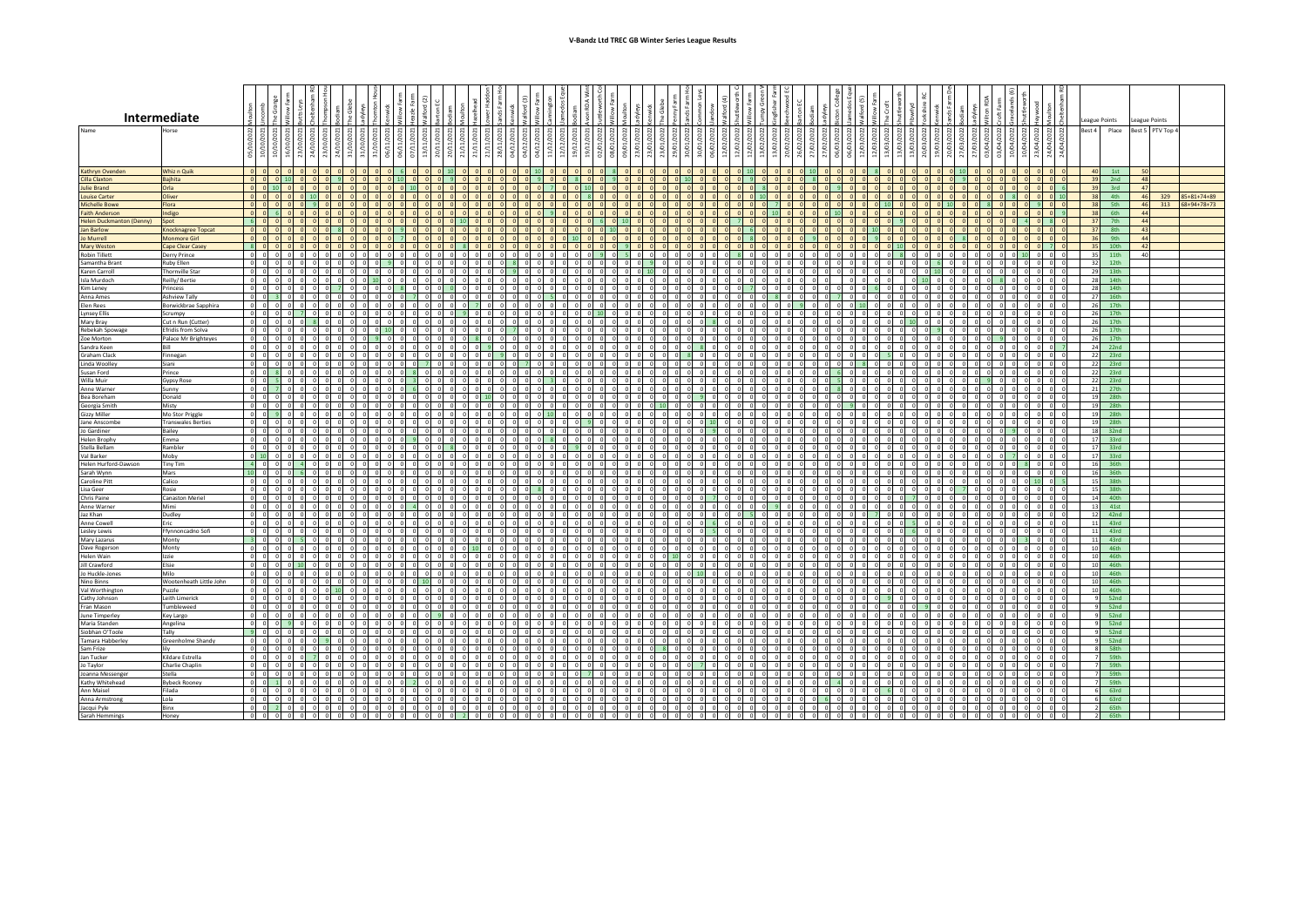|                                                   | Intermediate                            |                                         |                                  |                |                                  |                      |                                |                               |                    |                      |                              |                     |                |                                            |              |                        |                          |                                                  |                           |                              |                                   |                      |                                                              |                               |            |                                           |                        |                           |                    |                                       |                      |                       |                           |                                         |                                    |                              |                                            | eague Points |                        | League Points  |                  |                     |
|---------------------------------------------------|-----------------------------------------|-----------------------------------------|----------------------------------|----------------|----------------------------------|----------------------|--------------------------------|-------------------------------|--------------------|----------------------|------------------------------|---------------------|----------------|--------------------------------------------|--------------|------------------------|--------------------------|--------------------------------------------------|---------------------------|------------------------------|-----------------------------------|----------------------|--------------------------------------------------------------|-------------------------------|------------|-------------------------------------------|------------------------|---------------------------|--------------------|---------------------------------------|----------------------|-----------------------|---------------------------|-----------------------------------------|------------------------------------|------------------------------|--------------------------------------------|--------------|------------------------|----------------|------------------|---------------------|
| Name                                              | Horse                                   |                                         |                                  |                |                                  |                      |                                |                               |                    |                      |                              |                     |                |                                            |              |                        |                          |                                                  |                           |                              |                                   |                      |                                                              |                               |            |                                           |                        |                           |                    |                                       |                      |                       |                           |                                         |                                    |                              | 022                                        | Rest 4       | Place                  |                | Best 5 PTV Top 4 |                     |
|                                                   |                                         | দ্ৰা হ্ৰা                               | ₫।                               |                |                                  |                      |                                | 06/11,                        |                    | ₫                    |                              |                     | 28/11/2021     | ਕੇ                                         | ×            |                        |                          | ଛ                                                |                           |                              |                                   |                      |                                                              |                               |            |                                           |                        |                           |                    | /03/2022<br>ത്                        | 19/03/2022           | g                     | ෂ                         | ई<br>m                                  | ⊴                                  | 23/04/2022                   | 24/04/                                     |              |                        |                |                  |                     |
| Kathryn Ovender                                   | Whiz n Quik                             | $\overline{0}$                          | $\Omega$                         |                | $0$ $0$                          | $\Omega$             | $\Omega$                       | -6                            | 0 <sub>0</sub>     |                      | $0$ 10                       | $ 0 $ $ 0 $         | $\Omega$       |                                            | $0$ 10       | $\Omega$<br>$\sqrt{2}$ | $\Omega$                 |                                                  |                           | $0$ $0$                      |                                   |                      |                                                              | $0 - 10$<br>$\Omega$          | $\Omega$   | $\Omega$<br>$0$ 10                        | n.                     | 0 <sub>0</sub>            |                    |                                       | $\Omega$<br>$\Omega$ | $0 \mid 10$           | $\Omega$                  | $ 0 $ $ 0 $                             |                                    | 0 <sub>0</sub>               |                                            |              | 40 1st                 | 50             |                  |                     |
| <b>Cilla Claxton</b>                              | <b>Bajhita</b>                          |                                         | $0$ 0 10                         |                |                                  |                      |                                |                               |                    |                      |                              |                     |                |                                            |              |                        |                          |                                                  |                           |                              |                                   |                      |                                                              |                               |            |                                           |                        |                           |                    |                                       |                      |                       |                           |                                         |                                    |                              |                                            |              | $39$ 2nd               | 48             |                  |                     |
| <b>Julie Brand</b><br><b>Louise Carter</b>        | Orla<br>Oliver                          | $\overline{0}$                          | $0$ 10                           |                | 0 <sup>1</sup><br>$101$ 0        | $\Omega$             |                                |                               |                    |                      |                              |                     |                |                                            |              |                        |                          |                                                  |                           |                              |                                   |                      |                                                              |                               |            | $\overline{\mathbf{0}}$<br>$\Omega$       |                        | $\Omega$                  |                    |                                       |                      |                       |                           |                                         |                                    |                              |                                            | 38           | 39 3rd<br>4th          | 47<br>46       | 329              | $85 + 81 + 74 + 89$ |
| <b>Michelle Bowe</b>                              | Flora                                   | $\Omega$                                |                                  |                |                                  |                      |                                |                               |                    |                      |                              |                     |                |                                            |              |                        |                          |                                                  |                           |                              |                                   |                      |                                                              |                               |            |                                           |                        |                           |                    |                                       |                      |                       |                           |                                         |                                    |                              |                                            | 38           | 5th                    | 46             | 313              | 68+94+78+73         |
| <b>Faith Anderson</b><br>Helen Duckmanton (Denny) | Indigo<br>Spot                          |                                         | $0 \quad 6$<br>$ 0 $ $ 0 $       |                | $ 0 $ 0<br>$ 0 $ 0               | $ 0 $ $($            |                                |                               |                    |                      |                              |                     |                |                                            |              |                        |                          |                                                  |                           | $01$ 0                       | 0                                 |                      |                                                              |                               |            | $\overline{0}$                            |                        | $ 0 $ 0                   |                    |                                       |                      |                       |                           |                                         |                                    |                              |                                            | 38<br>37     | 6th<br>7th             | 44<br>44       |                  |                     |
| <b>Jan Barlow</b>                                 | Knocknagree Topcat                      | 0                                       |                                  |                | 0 0                              | $\mathbf{R}$         |                                |                               |                    |                      |                              |                     |                |                                            |              |                        |                          |                                                  |                           |                              |                                   |                      |                                                              |                               |            |                                           |                        |                           |                    |                                       |                      |                       |                           |                                         |                                    |                              | $\sqrt{2}$                                 | 37           | 8th                    | 43             |                  |                     |
| Jo Murrell                                        | <b>Monmore Girl</b>                     | 0                                       | $\Omega$                         |                | 0 0                              | $\Omega$             |                                |                               |                    |                      |                              |                     |                |                                            |              |                        |                          |                                                  |                           |                              |                                   |                      |                                                              |                               |            |                                           |                        |                           |                    |                                       |                      |                       |                           |                                         |                                    |                              | $\overline{0}$                             | 36           | 9th                    | $\overline{a}$ |                  |                     |
| <b>Mary Weston</b><br><b>Robin Tillett</b>        | <b>Cape Clear Casey</b><br>Derry Prince | $\Omega$<br>$\circ$                     |                                  |                |                                  |                      |                                |                               |                    |                      |                              |                     |                |                                            |              |                        |                          |                                                  |                           |                              |                                   |                      |                                                              |                               |            |                                           |                        |                           |                    |                                       |                      |                       |                           |                                         |                                    |                              |                                            | 35           | 35 10th<br>11th        | 42             |                  |                     |
| Samantha Brant                                    | Ruby Ellen                              | $\Omega$                                |                                  |                |                                  |                      |                                |                               |                    |                      |                              |                     |                |                                            |              |                        |                          |                                                  |                           |                              |                                   |                      |                                                              |                               |            |                                           |                        |                           |                    |                                       |                      |                       |                           |                                         |                                    |                              |                                            | 32           | 12th                   |                |                  |                     |
| Karen Carroll                                     | Thornville Star                         | $\circ$<br>$\mathsf{d}$                 | $\circ$                          |                | $0$ 0                            |                      |                                |                               |                    |                      |                              |                     |                |                                            |              |                        |                          |                                                  |                           |                              |                                   |                      |                                                              |                               |            |                                           |                        | $\circ$                   |                    |                                       |                      |                       | n I                       |                                         |                                    | $0$ 0                        | $\Omega$                                   |              | 29 13th                |                |                  |                     |
| Isla Murdoch<br>Kim Leney                         | Reilly/Bertie<br>Princess               | $\circ$                                 | $0$ 0<br>$\sqrt{2}$<br>$\Omega$  |                | 0 <sub>0</sub><br>0 <sub>0</sub> | $\Omega$             | $0$   10                       | $\Omega$                      |                    |                      |                              | $0 \cup 0$          |                | $0 \quad 0$                                | 0 0          |                        | ol ol                    | $\overline{0}$<br>$\overline{0}$                 |                           | 010                          | $\circ$<br>$\Omega$               |                      | $0$ 0                                                        | $\circ$                       | $\Omega$   | $\circ$<br>- 0 I                          |                        | 0 <sub>0</sub><br>0 0     |                    |                                       |                      | 0 <sub>0</sub>        |                           | - 81                                    | ിറ<br>- 01                         | $0$ 0<br>$0\quad 0$          | $\circ$<br>$\overline{\phantom{0}}$        |              | 28 14th<br>28 14th     |                |                  |                     |
| Anna Ames                                         | <b>Ashview Tally</b>                    | $\overline{0}$                          |                                  |                | 0 <sub>0</sub>                   | $\Omega$             | - 01                           |                               |                    |                      |                              |                     |                |                                            |              |                        | $\Omega$                 | $\circ$<br>$\overline{0}$                        |                           | $\circ$                      | $\circ$                           | $\overline{0}$       |                                                              |                               |            | - 0 I                                     |                        | $0 \cup 0$                |                    |                                       |                      | $\Omega$              |                           |                                         | . O I                              | $0\quad 0$                   | $\Omega$                                   |              | 27 16th                |                |                  |                     |
| Elen Rees<br><b>Lynsey Ellis</b>                  | Borwickbrae Sapphira<br>Scrumpy         | $^{\circ}$<br>$\circ$                   | ΩL                               |                | 0 <sup>1</sup><br>$0$ 0          | $\circ$              | $\circ$                        | $\Omega$                      |                    |                      |                              |                     |                |                                            |              |                        | $0$ 10                   | $\circ$                                          |                           | $\circ$                      | $\circ$                           |                      |                                                              | $\overline{0}$                | $\circ$    | $\circ$<br>$\Omega$                       | $\Omega$               | 0110<br>$0$ 0             |                    |                                       | $\Omega$             | 0 0                   | $\circ$                   | $\circ$<br>$\overline{\phantom{0}}$     | $\circ$                            | $0$ 0                        |                                            |              | 26 17th<br>26 17th     |                |                  |                     |
| Mary Bray                                         | Cut n Run (Cutter)                      |                                         | $0$ 0                            | ol o           | $8$ 0                            | $\overline{0}$       |                                |                               |                    |                      |                              |                     |                |                                            |              |                        |                          |                                                  |                           |                              | $\circ$                           | $\circ$              | $0 \quad 8$                                                  |                               |            | $\circ$                                   | $\Omega$               | $01$ 0                    |                    |                                       |                      | $\circ$               | $\Omega$                  | $\overline{\mathbf{0}}$<br>$\circ$      | $\circ$                            | $0$ 0<br>$0$ 0               | $\Omega$                                   |              | 26 17th                |                |                  |                     |
| Rebekah Spowag                                    | Efridís from Solva                      | $\circ$                                 |                                  |                | $0$ 0                            | $\circ$              |                                |                               |                    |                      |                              |                     |                |                                            |              |                        |                          |                                                  |                           |                              |                                   |                      |                                                              |                               |            |                                           |                        |                           |                    |                                       |                      |                       |                           | $\circ$                                 | $\circ$                            | $0$ 0                        |                                            | 26           | 17th                   |                |                  |                     |
| Zoe Morton<br>Sandra Keen                         | Palace Mr Brighteyes<br>Rill            | $\sim$<br>$\circ$<br>$\Omega$<br>$\sim$ | $\circ$<br>$\Omega$              |                | $0$ 0<br>$0$ $0$                 | $\circ$<br>$\Omega$  |                                | $\Omega$                      |                    |                      |                              |                     |                |                                            |              |                        | $\overline{0}$           |                                                  |                           | $\circ$<br>$\Omega$          | $\circ$<br>$\Omega$               | $\circ$              | $\overline{0}$                                               |                               | $^{\circ}$ | $\circ$                                   | $\Omega$               | $\circ$                   |                    |                                       |                      | $\circ$<br>$^{\circ}$ | $\circ$<br>$\Omega$       | 0 9<br>$0$ $0$                          | $\circ$<br>$\Omega$                | $0$ 0<br>$0$ 0               | $\Omega$                                   |              | 26 17th<br>$24$ 22nd   |                |                  |                     |
| Graham Clack                                      | Finnegan                                | $\circ$                                 |                                  |                | 0 0                              |                      |                                |                               |                    |                      |                              |                     |                |                                            |              |                        |                          |                                                  |                           |                              |                                   |                      |                                                              |                               |            |                                           |                        |                           |                    |                                       |                      |                       |                           | $\Omega$<br>$\Omega$                    |                                    | 0                            |                                            |              | 22 23rd                |                |                  |                     |
| <b>Linda Woolley</b>                              | Siani                                   | $\overline{\phantom{0}}$<br>$\sim$      |                                  |                | $0$ 0                            | $\circ$<br>$\Omega$  |                                |                               |                    |                      |                              |                     |                |                                            |              |                        |                          |                                                  |                           |                              |                                   |                      |                                                              |                               |            |                                           |                        |                           |                    |                                       |                      |                       |                           | $\overline{0}$<br>$\Omega$              |                                    | $0$ 0                        |                                            |              | 22 23rd                |                |                  |                     |
| Susan Ford<br>Willa Muir                          | Prince<br>Gypsy Rose                    | οI                                      | $0$ 8<br>$\Omega$                |                | $0$ 0<br>$0$ 0                   | 0 <sup>1</sup>       | $\overline{0}$                 |                               |                    |                      | $\circ$                      |                     |                |                                            |              |                        | - ol                     | $\circ$<br>$\circ$                               |                           | $0$ 0                        | n In                              | $\circ$              | $\overline{0}$<br>$\Omega$                                   | $\Omega$<br>$\circ$           | $\Omega$   | $\circ$                                   |                        | 0 0                       |                    | $\sqrt{2}$                            |                      | 0 0                   | $\Omega$                  | $^{\circ}$                              | $\overline{0}$                     | $0$ 0<br>$0$ 0               | $\Omega$                                   |              | 22 23rd<br>22 23rd     |                |                  |                     |
| Anne Warner                                       | Sunny                                   | $\circ$                                 | . O I                            |                | $0$ 0                            | $\Omega$             | $\circ$                        |                               |                    |                      |                              |                     |                |                                            |              |                        | ി                        | $\Omega$                                         |                           | 010                          | ol o                              |                      | $0\sqrt{0}$<br>$\Omega$                                      | $\circ$                       |            | - 0 I                                     |                        | 0 0                       |                    |                                       |                      |                       |                           | $\Omega$                                | $\Omega$                           | $0$ 0                        | $\Omega$                                   |              | 21 27th                |                |                  |                     |
| <b>Bea Boreham</b>                                | Donald<br>Misty                         | . O I<br>$\Omega$                       |                                  |                | 0 <sub>0</sub><br>0 <sup>1</sup> | $\Omega$             | $\Omega$                       |                               |                    |                      | -01                          |                     |                |                                            |              |                        |                          | $\Omega$                                         |                           | $\Omega$                     | $\Omega$                          |                      |                                                              | - 01                          | ി          | - 0 I                                     | $\Omega$               | n In                      |                    |                                       |                      |                       |                           |                                         | $\Omega$                           | $\circ$<br>$\circ$           |                                            |              | 19 28th<br>19 28th     |                |                  |                     |
| Georgia Smith<br>Gizzy Miller                     | Mo Stor Priggle                         |                                         |                                  |                | $0$ 0                            | 0 <sup>1</sup>       |                                |                               |                    |                      |                              |                     |                |                                            |              |                        |                          |                                                  |                           |                              | ol o                              |                      |                                                              |                               |            | $\Omega$                                  |                        | 0 <sub>0</sub>            |                    |                                       |                      |                       |                           |                                         | ിറ                                 | $0$ 0                        |                                            |              | 19 28th                |                |                  |                     |
| Jane Anscombe                                     | <b>Transwales Berties</b>               | $\circ$<br>-n l                         | $\Omega$<br>$\Omega$             |                | $0$ 0                            | $\Omega$             |                                |                               |                    |                      |                              |                     |                |                                            |              |                        |                          |                                                  |                           |                              |                                   |                      |                                                              |                               |            |                                           |                        |                           |                    |                                       |                      |                       |                           | $\Omega$                                | $\Omega$                           | $0$ 0                        | $\circ$                                    |              | 19 28th                |                |                  |                     |
| Jo Gardiner<br><b>Helen Brophy</b>                | Bailey<br>Emma                          | $\circ$<br>ി<br>$\circ$                 | $\circ$                          |                | $0$ 0                            | $\circ$              |                                |                               |                    |                      |                              |                     |                |                                            |              |                        | $^{\circ}$               |                                                  |                           | $^{\circ}$                   | $\circ$                           | $\circ$              | $^{\circ}$                                                   |                               |            |                                           | $\Omega$               |                           |                    |                                       |                      |                       |                           |                                         |                                    | $0$ 0                        | $\Omega$                                   |              | $18 - 32nd$<br>17 33rd |                |                  |                     |
| Stella Bellam                                     | Rambler                                 | $\Omega$                                |                                  |                |                                  |                      |                                |                               |                    |                      |                              |                     |                |                                            |              |                        |                          |                                                  |                           |                              |                                   |                      |                                                              |                               |            |                                           |                        |                           |                    |                                       |                      |                       |                           |                                         |                                    |                              |                                            |              | 17 33rd                |                |                  |                     |
| Val Barker<br>Helen Hurford-Dawson                | Moby<br><b>Tiny Tim</b>                 | $0 - 10$<br>$\circ$                     |                                  | $\circ$        |                                  |                      |                                |                               |                    |                      |                              |                     |                |                                            |              |                        |                          |                                                  |                           |                              |                                   |                      |                                                              |                               |            |                                           |                        |                           |                    |                                       |                      |                       |                           |                                         |                                    |                              | $\Omega$                                   |              | 17 33rd<br>16 36th     |                |                  |                     |
| Sarah Wynn                                        | Mars                                    | $\circ$                                 |                                  |                |                                  |                      |                                |                               |                    |                      |                              |                     |                |                                            |              |                        |                          |                                                  |                           |                              |                                   |                      |                                                              |                               |            |                                           |                        |                           |                    |                                       |                      |                       |                           |                                         |                                    |                              |                                            |              | 16 36th                |                |                  |                     |
| Caroline Pitt                                     | Calico                                  | $\circ$<br>n                            | $^{\circ}$<br>$\Omega$           |                | $0$ 0                            | $\circ$              | $\overline{0}$                 | $\circ$                       |                    |                      | $\circ$                      |                     | $\circ$        | $\overline{\mathbf{0}}$                    | $\Omega$     |                        | $\circ$<br>$\Omega$      | $\circ$<br>$\circ$                               |                           | $0$ 0                        | 0                                 | $\circ$              |                                                              | $\circ$                       |            | $\circ$                                   | ΩL                     | $0$ 0                     |                    |                                       |                      | $\circ$               | $\Omega$                  | $^{\circ}$                              | $\overline{0}$                     | 10 <sup>1</sup>              |                                            |              | 15 38th                |                |                  |                     |
| Lisa Geer<br>Chris Paine                          | Rosie<br><b>Canaston Meriel</b>         | $\circ$<br>$\sim$<br>$\circ$            | $\Omega$<br>$\Omega$<br>$\Omega$ |                | 0 <sub>0</sub><br>0 <sub>0</sub> | $\Omega$<br>$\Omega$ | $\Omega$<br>$\Omega$           |                               |                    |                      | $\Omega$                     | 0 <sub>0</sub>      |                |                                            |              |                        | $\Omega$<br>$\sim$       | $\Omega$<br>$\circ$<br>$\overline{0}$            |                           | 0 <sub>0</sub><br>$\circ$    | $\circ$<br>$\circ$                |                      | 0 <sub>0</sub><br>$\sqrt{ }$                                 | $\Omega$<br>- 01              | ി          | - o l<br>$\circ$                          | n l<br>$\Omega$        | ol o<br>$0 \cup 0$        |                    | $\Omega$                              |                      | $\Omega$              | $\sim$<br>$\Omega$        | $\Omega$<br>$\Omega$<br>$\Omega$<br>-01 | $\Omega$<br>. O I                  | 0 <sub>0</sub><br>$0\quad 0$ | $\overline{0}$<br>$\Omega$                 |              | 15 38th<br>14 40th     |                |                  |                     |
| Anne Warner                                       | Mimi                                    | $\circ$                                 |                                  |                | 0 <sub>0</sub>                   | $\circ$              | $\overline{0}$<br>$\circ$      |                               |                    | - 01                 | $\circ$                      |                     | $\overline{0}$ | $\overline{\mathbf{0}}$                    |              |                        | $\overline{0}$           | $\overline{0}$<br>$\overline{0}$                 |                           | $0 \vert 0$                  | οI                                | $\mathbf{0}$         |                                                              | - 0.1                         |            | $\circ$<br>$\Omega$                       | $\Omega$               | 0 0                       |                    |                                       | $\circ$              | $0 \cup 0$            | $\circ$                   | $\circ$<br>$\overline{\phantom{0}}$     | $\circ$                            | $0\quad 0$                   |                                            |              | 13 41st                |                |                  |                     |
| Jaz Khan                                          | Dudley<br>Eric                          | $\Omega$<br>$\circ$<br>n                | $\Omega$<br>$\Omega$             | 0 <sub>0</sub> | $0$ 0<br>$0$ 0                   | $\circ$<br>$\circ$   |                                |                               |                    |                      |                              |                     |                |                                            |              |                        |                          |                                                  |                           |                              | $\Omega$<br>$\sqrt{2}$<br>$\circ$ | $\overline{0}$       |                                                              |                               |            | $\circ$<br>$\circ$                        |                        | $0$ 0                     |                    |                                       |                      |                       | $\Omega$                  | ol ol<br>$\circ$<br>$\Omega$            | $\circ$<br>$\overline{\mathbf{0}}$ | $0$ 0<br>$0$ 0               | $\Omega$                                   |              | 12 42nd<br>11 43rd     |                |                  |                     |
| Anne Cowell<br>Lesley Lewis                       | Ffynnoncadno Sofi                       | $\circ$                                 |                                  |                | $0$ 0                            | $\Omega$             |                                |                               |                    |                      |                              |                     |                |                                            |              |                        |                          |                                                  |                           |                              |                                   |                      |                                                              |                               |            |                                           |                        |                           |                    |                                       |                      |                       |                           | $\circ$                                 | $\Omega$                           | $\overline{\mathbf{0}}$      |                                            |              | $11$ 43rd              |                |                  |                     |
| Mary Lazarus                                      | Monty                                   | $\circ$                                 | $\Omega$                         | n s            | $0$ 0                            | $0$ 0                | $\Omega$<br>$\Omega$           |                               |                    |                      | $\circ$                      |                     |                |                                            |              |                        | $\overline{\phantom{0}}$ |                                                  |                           | $\circ$                      | $\circ$                           | $\circ$              | $\circ$                                                      |                               | $\Omega$   | $\circ$                                   | $\Omega$               | $\circ$                   |                    |                                       |                      |                       | $\Omega$                  | $\circ$<br>$\Omega$                     | $ 0 $ 3                            | $0$ 0                        | $\Omega$                                   |              | $11$ 43rd              |                |                  |                     |
| Dave Rogerson<br><b>Helen Wain</b>                | Monty<br>Izzie                          | $\Omega$<br>$\circ$<br>$\Omega$         |                                  | 0 <sup>1</sup> | 0 0                              | $\Omega$             |                                |                               |                    |                      |                              |                     |                |                                            |              |                        |                          |                                                  |                           |                              |                                   |                      |                                                              |                               |            |                                           |                        |                           |                    |                                       |                      |                       |                           |                                         | $\overline{0}$                     | $0$ 0<br>$\Omega$            | $\overline{0}$                             |              | 10 46th<br>10 46th     |                |                  |                     |
| <b>Jill Crawford</b>                              | Elsie                                   | $\circ$                                 | $\circ$                          |                |                                  | $\Omega$             |                                |                               |                    |                      |                              |                     |                |                                            |              |                        |                          |                                                  |                           |                              |                                   |                      |                                                              |                               |            |                                           |                        |                           |                    |                                       |                      |                       |                           |                                         |                                    | $0$ 0                        | $\Omega$                                   |              | 10 46th                |                |                  |                     |
| Jo Huckle-Jones                                   | Milo                                    | $\circ$<br>n.                           |                                  |                | $0$ 0                            | $\Omega$             |                                |                               |                    |                      |                              |                     |                |                                            | $\sim$       | $\sqrt{2}$             |                          |                                                  |                           | $\sim$                       |                                   |                      |                                                              |                               |            |                                           |                        |                           | $\sqrt{2}$         |                                       |                      |                       |                           |                                         |                                    | $0$ 0                        |                                            |              | 10 46th                |                |                  |                     |
| Nino Binns<br>Val Worthington                     | Wootenheath Little John<br>Puzzle       | $\circ$<br>$\Omega$                     | $^{\circ}$<br>$\Omega$<br>$0$ 0  | $\sim$<br>ിറ   | $0$ 0<br>$0 \t 0 \t 10$          | 0 <sub>0</sub>       | $\overline{0}$<br>$00$ $01$    | $0$ 0<br>$\Omega$<br>$\Omega$ | $0$ 10<br>$\Omega$ | $\Omega$<br>$\Omega$ |                              | 000<br>0 0          | $\circ$        | $\overline{\mathbf{0}}$                    | 0 O          | $\circ$                | $\circ$<br>n I<br>ol ol  | $\circ$<br>$\overline{0}$<br>$\overline{0}$<br>ി | - 01                      | $0$ 0<br>$0$ 0               | 0 <sub>0</sub><br>0 <sub>0</sub>  | $0$ 0<br>$ 0 $ $ 0 $ | $\overline{\phantom{0}}$<br>$\Omega$<br>ിറി                  | ol ol<br>0 0 0                | $\circ$    | $0\quad 0$<br>0 0                         | 0 <sub>0</sub><br>n In | 0 0<br>$ 0 $ $ 0 $        | $\sqrt{2}$         | 0 <sub>0</sub><br>$0$ 0<br>ol ol      | $\Omega$             | $0$ 0<br>0 0          | $\Omega$<br>$\Omega$      | $\Omega$<br>$\overline{0}$<br>ി         | $\overline{0}$<br>$\Omega$         | $0$ 0<br>$ 0 $ 0             | $\overline{0}$<br>$\overline{\phantom{0}}$ |              | 10 46th<br>10 46th     |                |                  |                     |
| Cathy Johnson                                     | Leith Limerick                          | $\circ$                                 |                                  |                | 0 <sup>1</sup>                   |                      |                                |                               |                    |                      |                              |                     |                |                                            |              |                        |                          |                                                  |                           |                              |                                   |                      |                                                              |                               |            |                                           |                        |                           |                    |                                       |                      |                       |                           |                                         |                                    | $\circ$                      |                                            |              | $9$ 52nd               |                |                  |                     |
| Fran Mason<br>June Timperley                      | Tumbleweed                              | $\circ$                                 | $0$ 0                            |                | $0$ 0<br>$0$ 0                   | 0 0<br>$0$ 0         | $\overline{0}$                 |                               |                    |                      |                              |                     |                |                                            |              |                        |                          | $\circ$                                          |                           | $\circ$                      | $\circ$<br>$\Omega$               | $\circ$              |                                                              | $\circ$                       | $\Omega$   | $\circ$<br>$\circ$                        |                        | 0 <sub>0</sub><br>$\circ$ |                    |                                       |                      | 0 0                   | $\circ$                   |                                         | $\circ$<br>0 O                     | $\circ$<br>$0$ 0             | $\overline{0}$                             | 9            | 52nd<br>9 52nd         |                |                  |                     |
| Maria Standen                                     | Key Largo<br>Angelina                   | $\circ$                                 |                                  |                | $0$ 0                            | $\circ$              | $\Omega$                       |                               |                    |                      |                              |                     |                |                                            |              |                        |                          |                                                  |                           | $\Omega$                     | $\sim$<br>$\circ$                 | $\circ$              |                                                              |                               |            | $\circ$                                   |                        | $\circ$                   |                    |                                       |                      |                       | $\circ$                   | $\Omega$                                | $\circ$                            | $0$ 0                        | $\circ$                                    |              | $9$ 52nd               |                |                  |                     |
| Siobhan O'Toole                                   | Tally                                   | $\circ$                                 |                                  |                | $0$ 0                            | $\Omega$             |                                |                               |                    |                      |                              |                     |                |                                            |              |                        |                          |                                                  |                           |                              |                                   |                      |                                                              |                               |            |                                           |                        |                           |                    |                                       |                      |                       |                           |                                         |                                    | $\circ$                      | $\Omega$                                   | 9            | 52nd                   |                |                  |                     |
| <b>Tamara Habberley</b><br>Sam Frize              | Greenholme Shandy<br>lilv               | $\circ$<br>$\circ$                      |                                  | $\Omega$       |                                  |                      |                                |                               |                    |                      |                              |                     |                |                                            |              |                        |                          |                                                  |                           |                              |                                   |                      |                                                              |                               |            |                                           |                        |                           |                    |                                       |                      |                       |                           |                                         |                                    |                              | $\Omega$<br>$\overline{0}$                 |              | $9 - 52nd$<br>8 58th   |                |                  |                     |
| Jan Tucker                                        | Kildare Estrella                        | $\Omega$                                |                                  |                |                                  |                      |                                |                               |                    |                      |                              |                     |                |                                            |              |                        |                          |                                                  |                           |                              |                                   |                      |                                                              |                               |            |                                           |                        |                           |                    |                                       |                      |                       |                           |                                         |                                    |                              |                                            |              | 7 59th                 |                |                  |                     |
| Jo Taylor                                         | Charlie Chaplin                         | $\circ$                                 | $\circ$                          |                |                                  |                      |                                |                               |                    |                      |                              |                     |                |                                            |              |                        |                          |                                                  |                           |                              |                                   |                      |                                                              |                               |            |                                           |                        |                           |                    |                                       |                      |                       |                           |                                         |                                    |                              |                                            |              | 7 59th                 |                |                  |                     |
| Joanna Messenger<br>Kathy Whitehead               | Stella<br><b>Bybeck Rooney</b>          | $\Omega$<br>n l<br>οI                   | $^{\circ}$                       |                | $0 \quad 0$                      | $\circ$              | $\overline{0}$                 |                               |                    |                      |                              | 0 0                 | $\circ$        | $\overline{0}$<br>$\overline{\phantom{0}}$ | $\Omega$     | $\circ$<br>$\Omega$    | $\circ$<br>- ol          | $\circ$<br>$\circ$                               |                           | $0$ 0                        | 0 <sub>0</sub>                    | $\circ$              |                                                              | $\overline{0}$                | $^{\circ}$ | $\circ$                                   | 0 <sup>1</sup>         | $0$ 0                     | $\sqrt{2}$         |                                       |                      | 0 <sub>0</sub>        | $\Omega$                  | $^{\circ}$                              |                                    |                              | $\overline{0}$                             |              | 7 59th<br>7 59th       |                |                  |                     |
| Ann Maisel                                        | Filada                                  | $0\quad 0\quad 0$                       |                                  | $0$ 0          | $0 \quad 0$                      | 000                  |                                | alalalalalalal                |                    |                      |                              | $0$ 0               | $\Omega$       | $0$ 0 0 0                                  |              | $0$ 0                  |                          | 0 0 0 0 0 0 0                                    |                           | $0$ 0                        | $0$ 0                             |                      | $\begin{array}{ccc c} 0 & 0 & 0 & 0 \end{array}$             |                               |            | 0 0 0 0 0 0 0                             | 000                    |                           |                    |                                       |                      |                       |                           |                                         |                                    | $0$ 0                        | $\overline{\phantom{0}}$                   |              | 6 63rd                 |                |                  |                     |
| Anna Armstron<br>Jacqui Pyle                      | Lola<br>Binx                            | $\circ$                                 | $\Omega$<br>$0 \vert 2$          | $0$ 0          | $0$ 0<br>$0$ 0                   | $0$ 0<br>$0$ 0       | $0 \quad 0 \quad 0$<br>$0$ 0 0 | $\circ$                       | ol ol<br>$0$ 0 0   |                      | ol o<br>$0 \quad 0$          | $0 \cup 0$<br>$0$ 0 | $\circ$        | $ 0 $ 0<br>$0 \quad 0$                     | 0 0<br>$0$ 0 | 010<br> 0              | $0$ 0<br>$0$ 0           | $\circ$<br>$\circ$<br>$\circ$<br>$\circ$         | $\circ$<br>$\overline{0}$ | $0$ 0<br>$0$ 0<br>$^{\circ}$ | $0$ 0<br>$0$ 0                    |                      | $0$ 0<br>$\overline{\phantom{0}}$<br>$0$ 0<br>$\overline{0}$ | $\circ$<br>$\circ$<br>$\circ$ | $0$ 0      | $\overline{0}$<br>$\Omega$<br>0 0 0 0 0 0 | $0$ 0                  | $0$ 0<br>$0$ 0            | $\circ$<br>$\circ$ | $0 \cup 0$<br>010<br>$0$ 0<br>$ 0 $ 0 | $\circ$<br>$\circ$   | $0$ 0<br>$0$ 0        | $\circ$<br>$\overline{0}$ | $0$ 0<br>$0$ 0                          | $0$ 0<br>$0$ 0                     | $0$ 0                        | $\overline{\phantom{0}}$<br>$\overline{0}$ |              | $6$ 63rd<br>2 65th     |                |                  |                     |
| Sarah Hemmings                                    | Honey                                   | $0\quad 0\quad 0$                       |                                  | $0\quad 0$     | $0$ 0                            | $0$ 0                | $0$ $0$ $0$                    |                               |                    |                      | alalalala <mark>zla</mark> l |                     |                | $0$ 0 0 0                                  |              | $\Omega$               | ol ol                    | $\Omega$                                         |                           |                              |                                   |                      |                                                              | $\Omega$                      |            | $0$ 0 0 0                                 | 0 <sup>1</sup>         | $0$ 0                     |                    | ol ol<br>ol ol                        |                      |                       | 0 0 0 0 0 0 0             |                                         |                                    | $0$ 0<br>$0$ 0               | $\circ$                                    |              | 2 65th                 |                |                  |                     |
|                                                   |                                         |                                         |                                  |                |                                  |                      |                                |                               |                    |                      |                              |                     |                |                                            |              |                        |                          |                                                  |                           |                              |                                   |                      |                                                              |                               |            |                                           |                        |                           |                    |                                       |                      |                       |                           |                                         |                                    |                              |                                            |              |                        |                |                  |                     |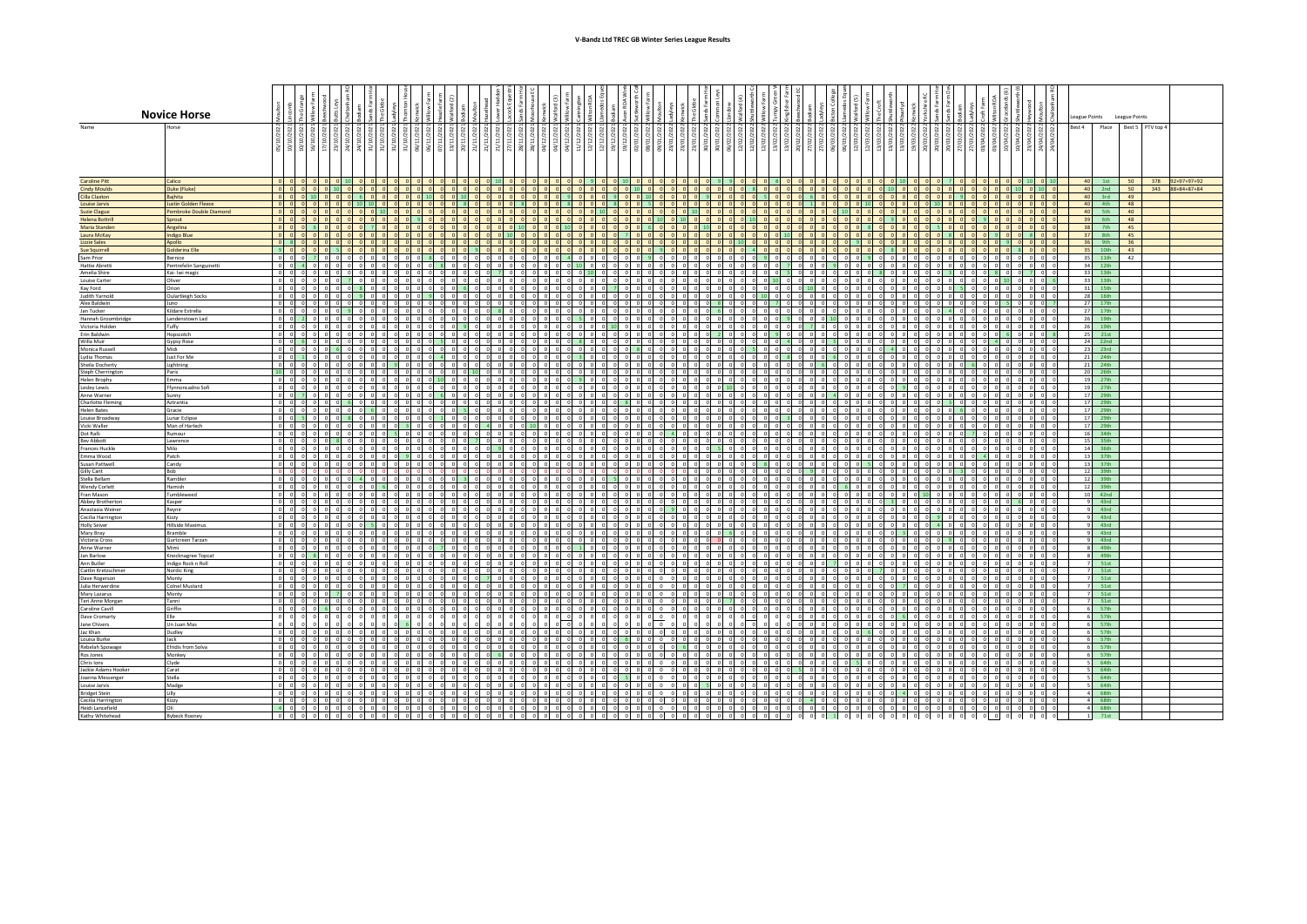## **V-Bandz Ltd TREC GB Winter Series League Results**

|                                               | <b>Novice Horse</b>               |                                                                    |  |                       |             |         |  |                                         |          |                     |            |                                                             |                                                         |                |         |                 |             |                      |                                            |        |                      |         |         |                                                                 |                          |                              |            |                                                                     |                |                                       | League Points   |                                 | League Points    |                                    |  |
|-----------------------------------------------|-----------------------------------|--------------------------------------------------------------------|--|-----------------------|-------------|---------|--|-----------------------------------------|----------|---------------------|------------|-------------------------------------------------------------|---------------------------------------------------------|----------------|---------|-----------------|-------------|----------------------|--------------------------------------------|--------|----------------------|---------|---------|-----------------------------------------------------------------|--------------------------|------------------------------|------------|---------------------------------------------------------------------|----------------|---------------------------------------|-----------------|---------------------------------|------------------|------------------------------------|--|
| Name                                          |                                   |                                                                    |  |                       |             |         |  |                                         |          |                     |            |                                                             |                                                         |                |         |                 |             |                      |                                            |        |                      |         |         |                                                                 |                          |                              |            |                                                                     |                |                                       | Best 4          | Place                           | Best 5 PTV top 4 |                                    |  |
|                                               |                                   |                                                                    |  |                       |             |         |  |                                         |          |                     |            |                                                             |                                                         |                |         |                 |             |                      |                                            |        |                      |         |         |                                                                 |                          |                              |            |                                                                     |                |                                       |                 |                                 |                  |                                    |  |
|                                               |                                   | $\frac{5}{10}$                                                     |  |                       |             |         |  |                                         |          |                     |            |                                                             |                                                         |                |         |                 |             |                      |                                            |        |                      |         |         |                                                                 |                          |                              |            |                                                                     |                |                                       |                 |                                 |                  |                                    |  |
|                                               |                                   |                                                                    |  |                       |             |         |  |                                         |          |                     |            |                                                             |                                                         |                |         |                 |             |                      |                                            |        |                      |         |         |                                                                 |                          |                              |            |                                                                     |                |                                       |                 |                                 |                  |                                    |  |
|                                               |                                   |                                                                    |  |                       |             |         |  |                                         |          |                     |            |                                                             |                                                         |                |         |                 |             |                      |                                            |        |                      |         |         |                                                                 |                          |                              |            |                                                                     |                |                                       |                 |                                 |                  |                                    |  |
| <b>Caroline Pitt</b><br><b>Cindy Moulds</b>   | Calico<br>Duke (Fluke)            | $0$ $0$ $0$<br>$0$ $0$ $0$                                         |  | $0 \t10$              |             |         |  |                                         |          |                     |            |                                                             |                                                         |                |         |                 |             |                      | $0 \quad 0 \quad 0$                        |        |                      |         |         |                                                                 |                          |                              |            |                                                                     |                | $0$ 10                                |                 | $40$ 1st<br>40 2nd 50           | 50               | 378 92+97+97+92<br>343 88+84+87+84 |  |
| Cilla Claxton                                 | Baihita                           | $0$ 0 0                                                            |  |                       |             |         |  | $0 \mid 10 \mid 0 \mid$                 |          |                     |            |                                                             |                                                         |                |         |                 |             |                      | $0$ 0                                      |        |                      |         |         | $0$ 0                                                           |                          |                              |            |                                                                     |                | $0$ 0                                 |                 | 40 3rd 49<br>40 4th 48          |                  |                                    |  |
| Louise Jarvis                                 | <b>Justin Golden Fleece</b>       | $0$ $0$ $0$                                                        |  | 0 0 1                 |             |         |  | 0 8 0 0                                 |          |                     |            |                                                             | 0 0 8 0 0 0 8 0 0 0 8 0 8 0 8 0 0 8 0 0 0 0 0 0 0 0 0 0 |                |         |                 |             |                      | $0 \quad 0 \quad 0$                        |        |                      |         |         | 0 0                                                             |                          | 0 0 0 0                      |            |                                                                     |                |                                       |                 |                                 |                  |                                    |  |
| <b>Suzie Clague</b><br><b>Helena Bottrill</b> | Pembroke Double Diamond<br>Sprout | $0$ $0$ $0$                                                        |  |                       |             |         |  | $00$ $00$<br>0 0 0 0                    |          | $0$ $0$ $0$ $0$ $0$ |            |                                                             |                                                         |                |         |                 |             |                      | $00$ $00$<br>0 0 0                         |        |                      |         |         | 0 <sub>0</sub><br>$0 \quad 0$                                   |                          | $00$ $00$<br>0 0 0 9         |            |                                                                     |                | $0$ 0                                 |                 | 40 5th<br>39 6th                | 40<br>48         |                                    |  |
| Maria Standen                                 | Angelina                          |                                                                    |  |                       |             |         |  | 0 0 0                                   |          |                     |            |                                                             |                                                         |                |         |                 |             |                      | $0$ $0$                                    |        |                      |         |         | $0 \quad 0$                                                     |                          |                              |            |                                                                     |                | $n$ $n$                               | 38              | 7 <sup>th</sup>                 | 45               |                                    |  |
| Laura McKay                                   | <b>Indigo Blue</b>                | ololololol                                                         |  |                       |             |         |  | 0 0 0 0                                 |          |                     |            |                                                             |                                                         |                |         |                 |             | $00$ $01$ $01$       | $0 \quad 10 \quad 0$                       |        |                      |         |         | 0 0                                                             |                          | $0$ $0$ $0$                  |            | $0 \t 0 \t 8$                                                       |                | $0$ $0$                               | 37              | 8th                             | 45               |                                    |  |
| <b>Lizzie Sales</b><br><b>Sue Squirrell</b>   | Apollo<br><b>Golderina Elle</b>   | 0 8 0<br>900                                                       |  | 0 <sub>0</sub><br>50  |             |         |  | $0$ $0$ $0$<br>0 0 9                    |          |                     |            |                                                             |                                                         |                |         |                 |             | 0.1000               | 0 0 0<br>$0$ 0 0                           |        |                      |         |         | 0 0<br>$0$ 0                                                    |                          | 0 0 0 0                      |            | $0q$ $0q$                                                           |                | 0 <sub>0</sub>                        |                 | 36 9th<br>35 10th               | 36<br>43         |                                    |  |
| Sam Prior                                     | <b>Bernice</b>                    | ol ol ol                                                           |  | ol ol                 |             |         |  | $00$ $01$                               |          | $0$ $0$ $0$ $0$     | $0\quad 4$ |                                                             |                                                         |                |         |                 |             |                      | $0 \quad 0$                                |        |                      |         |         | $0$ 0                                                           |                          | $0$ 0 0                      |            |                                                                     |                |                                       | 35              | 11th                            | 42               |                                    |  |
| <b>Hattie Abrett</b>                          | Pentrefelin Sanguinetti           | $0$ 0 4                                                            |  | 0 0                   |             |         |  | $0$ 0 0                                 |          | 0 0 0 0 0 0 10      |            | $0$ 0 0 0 0 0                                               |                                                         |                | 0 0 0 0 |                 | $0$ 0       |                      | $0 \quad 7 \quad 0$                        |        |                      |         |         | $0$ 0                                                           |                          | 0 0 0 0                      |            |                                                                     |                | $\circ$                               |                 | 34 12th                         |                  |                                    |  |
| Amelia Shire<br><b>Louise Carter</b>          | Kai- Iwi magic<br>Oliver          | 000<br>$0$ 0 0 0                                                   |  | $n - n$<br>$0$ 7      |             |         |  | $00$ $00$<br>ol ol ol                   |          | $0$ $0$ $0$ $0$     |            |                                                             |                                                         |                |         |                 |             |                      | $0 \quad 5 \quad 0$<br>$0 \t 10 \t 0 \t 0$ |        | $\sim$               |         |         | $0$ $0$<br>$0 \quad 0 \quad 0$                                  |                          | ol ol<br>a a a al            |            |                                                                     |                | $\sqrt{2}$                            |                 | 33 13th<br>33 13th              |                  |                                    |  |
| Kay Ford                                      | Orion                             | $0 \quad 0 \quad 0$                                                |  |                       |             |         |  |                                         |          |                     |            |                                                             | al al al al al 71 al al al al al al a                   |                |         |                 |             |                      | $0 \quad 0$                                |        |                      |         |         | $0$ 0                                                           | $0 \quad 5$              |                              |            |                                                                     |                | $\sqrt{2}$<br>$\overline{\mathbf{0}}$ | 31              | 15th                            |                  |                                    |  |
| <b>Judith Yarnold</b>                         | <b>Oulartleigh Socks</b>          | $0$ 0 0                                                            |  | $0$ 0                 |             |         |  |                                         |          |                     |            |                                                             |                                                         |                |         |                 |             |                      | $\begin{matrix} 0 & 0 & 0 \end{matrix}$    |        |                      |         |         | $0$ 0                                                           |                          | o ol o                       |            |                                                                     |                |                                       | 28              | 16th                            |                  |                                    |  |
| Alex Baldwin<br>Jan Tucker                    | Juno<br>Kildare Estrella          | 000<br>$0$ $0$ $0$                                                 |  | $ 0 $ $ 0 $<br>$01$ 9 |             |         |  | $00$ $00$                               |          | ololololol          |            |                                                             | a a a a a a a a a a a a a a                             |                |         |                 |             |                      | 700                                        |        | $\Omega$             |         |         | $0$ 0<br>$0$ $0$                                                |                          | $0$ $0$ $0$                  |            |                                                                     |                |                                       |                 | 27 17th<br>27 17th              |                  |                                    |  |
| Hannah Groombridge                            | Landenstown Lad                   | $0$ $0$ $2$                                                        |  | $0$ 0                 |             |         |  | $00$ $00$                               |          | ololololol          |            |                                                             | olololololololololololololo                             |                |         |                 |             |                      | $0$ $9$ $0$                                |        | $01$ 0               |         |         | 000                                                             | $0$ $0$ $0$              |                              |            |                                                                     |                | $ 0 $ $ 0 $                           | 26              | 19th                            |                  |                                    |  |
| Victoria Holden                               | Tuffy                             | $0$ $0$ $0$                                                        |  |                       |             |         |  |                                         |          |                     |            |                                                             |                                                         |                |         |                 |             |                      | $0$ 0                                      |        |                      |         |         | $0$ $0$                                                         |                          |                              |            |                                                                     |                |                                       | 26              | 19th                            |                  |                                    |  |
| Erin Baldwin<br>Willa Muir                    | Hopscotch<br>Gypsy Rose           | 00000<br>$0$ 0 6                                                   |  | $0$ 0                 |             |         |  | a a a a                                 |          |                     |            |                                                             |                                                         |                |         |                 |             |                      | 900                                        |        |                      |         |         | $0$ $0$<br>0 0                                                  |                          | $0$ $0$ $0$ $0$              |            |                                                                     | $0$ 0          |                                       | 25              | 21st<br>24 22nd                 |                  |                                    |  |
| Monica Russell                                | Midi                              | $0 \quad 0 \quad 0$                                                |  | $6$ 0                 |             |         |  | $0$ 0 0                                 |          |                     |            |                                                             |                                                         |                |         |                 |             |                      | $0$ $0$ $0$                                |        |                      |         |         | $ 0 $ 0                                                         |                          | $0$ $0$ $0$                  |            | $0$ 0                                                               |                | $0$ 0                                 | 23              | 23rd                            |                  |                                    |  |
| Lydia Thomas                                  | Just For Me                       | $0$ 1                                                              |  | $0$ 0                 |             |         |  | $\circ$                                 |          |                     |            |                                                             |                                                         |                |         |                 |             |                      | $0 \quad 8$                                |        |                      |         |         | $0$ 0                                                           |                          | $\circ$                      |            |                                                                     |                |                                       | 21              | 24th                            |                  |                                    |  |
| Sheila Docherty<br>Steph Cherringtor          | Lightning<br>Paris                | $\begin{array}{c c} 0 & 0 & 0 \end{array}$<br>$10 \quad 0 \quad 0$ |  | $0$ 0<br>$n - n$      |             |         |  | 0 0 0<br>$0 \times 10$                  |          | $0$ 0 0 0           |            |                                                             |                                                         |                |         |                 |             |                      | $0$ 0<br>$0$ $0$                           |        |                      |         |         | $0$ 0<br>$0$ 0                                                  |                          | $\overline{a}$               |            |                                                                     |                | $\overline{\phantom{0}}$              | 21              | 24th<br>20 26th                 |                  |                                    |  |
| <b>Helen Brophy</b>                           | Emma                              | $\begin{array}{ccccccccc}\n0 & 0 & 0 & 0\n\end{array}$             |  | $0$ 0 0               |             |         |  | 0 0 0                                   |          | ololololol          |            |                                                             |                                                         |                |         |                 |             |                      | $0$ $0$ $0$                                |        |                      |         |         | $0$ 0                                                           |                          | $0 \quad 0 \quad 0$          |            | $0$ 0 0 0 0                                                         |                |                                       |                 | 19 27th                         |                  |                                    |  |
| Lesley Lewis                                  | Ffynnoncadno Sofi                 | $0$ 0 0                                                            |  | $0$ 0                 |             |         |  | 0 0 0                                   |          |                     |            |                                                             |                                                         |                |         |                 |             |                      | $0$ 0                                      |        |                      |         |         | $0 \quad 9 \quad 0$                                             | $0$ 0 0                  |                              |            |                                                                     |                | $0$ 0                                 | 19              | 27th                            |                  |                                    |  |
| Anne Warner<br>Charlotte Flemin               | Sunny<br>Aztrantia                | $0$ 0 7<br>0 0 0                                                   |  | $0$ 0<br>$0 \quad 6$  |             |         |  | $0 \quad 0 \quad 0 \quad 0$<br>0 0 0 0  |          | ololololol          |            | olololololo                                                 |                                                         |                |         |                 |             | $0$ 0 0 0            | $0$ 0 0<br>$0$ $0$ $0$                     |        | $\Omega$             |         |         | $0$ 0<br>$0$ $0$ $0$                                            | $0 \mid 3 \mid 0 \mid 0$ | $0$ 0 0 0                    |            |                                                                     | $\overline{0}$ | $0$ 0<br>$0$ 0                        |                 | 17 29th<br>17 29th              |                  |                                    |  |
| <b>Helen Bates</b>                            | Gracie                            | $\begin{matrix} 0 & 0 & 0 & 0 \end{matrix}$                        |  | $0$ $0$               |             |         |  | $0 \quad 5 \quad 0 \quad 0$             |          |                     |            |                                                             |                                                         |                |         |                 |             |                      | $0$ $0$ $0$                                |        |                      |         |         | 000                                                             |                          | $0 \quad 6 \quad 0 \quad 0$  | $\circ$    | $0$ $0$                                                             |                | $0$ 0 0                               |                 | 17 29th                         |                  |                                    |  |
| Louise Broadway                               | <b>Lunar Eclipse</b>              | $0$ $0$ 5                                                          |  | $0 \quad 8$           |             |         |  | ololo                                   |          |                     |            |                                                             |                                                         |                |         | $0$ $0$ $0$ $0$ |             |                      | $0 \quad 3$                                |        |                      |         |         | $0$ 0                                                           |                          | $0$ 0                        |            | $\circ$                                                             | $\bf{0}$       | $\circ$<br>$\overline{\mathbf{0}}$    | 17              | 29th                            |                  |                                    |  |
| Vicki Waller<br>Dot Ralli                     | Man of Harlech<br>Rumour          | $0$ 0 0<br>0 0 0                                                   |  | $0$ 0<br>$ 0 $ $ 0 $  |             |         |  | $0 \quad 0 \quad 0$<br>$00$ $00$ $00$   |          |                     |            | 0 0 0 10 0 0 0 0 0 0 0 0 0 0 0<br>alalalalala alalalalala a |                                                         |                |         |                 |             | $0$ 0 0 0            | $0$ 0 0<br>$0$ $0$ $0$                     |        | $0$ 0                |         |         | $0$ 0<br>$0$ 0                                                  |                          | $0$ 0 0 0<br>$0$ $0$ $7$ $0$ |            | $\begin{array}{ccc c} 0 & 0 & 0 & 0 & 0 \end{array}$<br>$0$ $0$ $0$ |                | $0$ 0                                 |                 | 17 29th<br>16 34th              |                  |                                    |  |
| <b>Bev Abbott</b>                             | Lawrence                          | $0$ 0 0                                                            |  | $0 \quad 8 \quad 0$   |             |         |  |                                         |          |                     |            |                                                             |                                                         |                |         |                 |             |                      | o ol o                                     |        |                      |         |         | $0$ 0                                                           |                          | 00000                        |            |                                                                     |                | $0$ 0                                 |                 | 15 35th                         |                  |                                    |  |
| Frances Huckle                                | Milo                              | $\begin{array}{c c} 0 & 0 & 0 \\ \hline 0 & 0 & 0 \end{array}$     |  | $0$ 0                 |             |         |  | o ol o                                  |          |                     |            |                                                             | 0 0 0 0 0 0 0 0 0 0 0 0 0 0 0 0 0 0 0                   |                |         |                 | $0$ $0$     |                      | $0$ $0$ $0$                                |        |                      |         |         | $ 0 $ $ 0 $                                                     |                          | $0$ $0$ $0$ $0$ $0$          |            |                                                                     |                |                                       | 14              | 36th                            |                  |                                    |  |
| Emma Wood<br>Susan Pattwell                   | Patch<br>Candy                    | 000                                                                |  | $0$ 0<br>ol ol        |             |         |  | $0$ 0 0<br>ol ol ol                     |          | alalalalal          |            |                                                             | olololololololololololo                                 |                |         |                 |             |                      | $0$ $0$ $0$<br>o o o                       |        | $\Omega$             |         |         | $0$ 0<br>$0$ 0                                                  |                          | $0$ 0 0 4<br>0 0 0 0         | $\Omega$   | ol ol                                                               | $\Omega$       | ol o                                  | 13              | 37th<br>$13$ $37th$             |                  |                                    |  |
| Gilly Cant                                    | Bob                               | $0$ 0 0                                                            |  | 0 <sub>0</sub>        |             |         |  |                                         |          |                     |            |                                                             |                                                         |                |         |                 |             |                      | $0$ $0$ $0$                                |        | $\circ$              |         |         | $0$ 0 0 0                                                       |                          | $ 0 $ 3 $ 0 $ $ 0 $ $ 0 $    |            | $\circ$ $\circ$ $\circ$ $\circ$ $\circ$                             |                |                                       |                 | 12 39th                         |                  |                                    |  |
| Stella Rellam                                 | Rambler                           | $0$ 0 0                                                            |  | $ 0 $ $ 0 $           |             |         |  | $\sim$                                  |          |                     |            |                                                             | 00000000000000000000000000000000                        |                |         |                 |             |                      | $0$ $0$ $0$                                |        | $\Omega$             |         |         | $0$ 0                                                           |                          | $0$ $0$ $0$<br>$\Omega$      | $\Omega$   | $0$ 0                                                               |                | $0 \quad 0 \quad 0$                   | 12 <sup>1</sup> | 39th                            |                  |                                    |  |
| <b>Wendy Corlett</b><br>Fran Mason            | Hamish<br>Tumbleweed              | $0$ $0$ $0$<br>$0$ 0 0                                             |  | $0$ 0<br>$0$ 0        |             |         |  | 0 0 0 0<br>$00$ $00$ $00$               |          |                     |            |                                                             | $\circ$ 0 0 0 0 0 0 0 0 0 0 0 0 0 0 0 0 0 0             |                |         |                 |             | 0 0 0 0 0<br>o o o o | $0$ 0 0<br>$0$ 0 0                         |        | $\Omega$             |         |         | $0$ 0<br>$0 \t 0 \t 1$                                          |                          | $0$ 0 0 0<br>00000           | $\circ$    | $0$ 0<br>$ 0 $ $ 0 $                                                | $\circ$        | $0$ 0 0<br>$0$ 0                      | 12              | 39 <sub>th</sub><br>$10 - 42nd$ |                  |                                    |  |
| Abbey Brotherton                              | Kasper                            | $0$ $0$ $0$                                                        |  |                       |             |         |  | al al al                                | ol ol ol |                     |            |                                                             |                                                         |                |         |                 |             |                      | ol ol ol                                   |        | $\Omega$             |         |         | $0 \quad 0 \quad 0$                                             |                          | ol ol ol                     |            | 0 <sub>6</sub>                                                      |                | $n$ $n$                               |                 | $9$ 43rd                        |                  |                                    |  |
| Anastasia Weiner                              | Reynir                            | $0$ 0 0                                                            |  | $ 0 $ $ 0 $           |             |         |  | $0$ $0$ $0$ $0$                         |          |                     |            |                                                             |                                                         |                |         |                 |             |                      | $0$ 0 0                                    |        | $0$ 0                |         |         | $0$ 0 0 0                                                       |                          | $0$ $0$ $0$ $0$              | $\circ$    | $\begin{array}{ccccccc}\n0 & 0 & 0 & 0 & 0\n\end{array}$            |                |                                       |                 | 43rd                            |                  |                                    |  |
| Cecilia Harrington<br><b>Holly Seiver</b>     | Kizzy<br><b>Hillside Maximus</b>  | $0$ $0$ $0$<br>$0$ 0 0                                             |  | $0$ $0$               |             |         |  | $\overline{0}$<br>$00$ $00$             |          |                     |            | ololololololololol<br>alalalalalalalalalalalalal            |                                                         |                |         |                 | o o o       |                      | $0$ $0$<br>o ol o                          |        |                      |         |         | $0$ $0$<br>$0$ $0$                                              |                          | $0$ $0$<br>$0$ $0$ $0$       |            |                                                                     |                | 0 0                                   |                 | 43rd<br>43rd                    |                  |                                    |  |
| Mary Bray                                     | Bramble                           | $0$ 0 0                                                            |  |                       |             |         |  |                                         |          |                     |            |                                                             |                                                         |                |         |                 |             |                      |                                            |        |                      |         |         | $\Omega$                                                        |                          |                              |            |                                                                     |                |                                       |                 | 43rd                            |                  |                                    |  |
| Victoria Cross                                | Gurtcreen Tarzan                  | $0$ 0 0 0                                                          |  | $0$ $0$ $0$           |             |         |  | 00000                                   |          |                     |            |                                                             |                                                         |                |         |                 |             | $0$ $0$ $0$ $0$      | $0$ $0$ $0$                                |        |                      |         |         | 000                                                             |                          | 0 0 0                        |            | $0$ 0                                                               |                | nl                                    |                 | 43rd                            |                  |                                    |  |
| Anne Warner<br>Jan Barlow                     | Mimi<br>Knocknagree Topcat        | 0 0 0<br>$0$ 0 0                                                   |  | 0 0                   |             |         |  | $\bigcap$                               |          |                     |            |                                                             |                                                         |                |         |                 |             |                      | $0$ $0$<br>$0$ $0$ $0$                     |        | $\Omega$             |         |         | 0 0<br>$0$ 0                                                    |                          | $0$ 0<br>$0$ $0$ $0$         |            |                                                                     |                |                                       |                 | 49th<br>49th                    |                  |                                    |  |
| Ann Butler                                    | Indigo Rock n Roll                | $0$ $0$ $0$                                                        |  | ol ol                 |             |         |  | 0 <sub>0</sub>                          | ol ol ol |                     |            |                                                             |                                                         |                |         |                 |             |                      | $0$ $0$ $0$                                |        | $\Omega$             |         |         | $0$ 0                                                           |                          | $0$ $0$ $0$                  |            | $\Omega$                                                            |                |                                       |                 | 51st                            |                  |                                    |  |
| Caitlin Kretzschme                            | Nordic King                       | $0 \quad 0 \quad 0$                                                |  |                       | $0$ $0$ $0$ |         |  | $0 \quad 0 \quad 0$                     |          | alalalalalal        |            |                                                             |                                                         |                |         |                 |             |                      | $0$ $0$ $0$                                |        | $\circ$              |         |         | $0$ $0$ $0$                                                     |                          | ol ol ol                     |            |                                                                     |                |                                       |                 | 51st                            |                  |                                    |  |
| Dave Rogerson<br>Julia Herwerdine             | Monty<br>Colnel Mustard           | $0$ 0 0<br>$0$ $0$ $0$                                             |  | $0$ 0<br>$0$ 0        |             |         |  | ololol<br>$0$ 0 0                       |          | ol ol ol ol         |            | olololo                                                     |                                                         | 0 <sub>0</sub> |         |                 |             |                      | $0 \quad 0$<br>$0$ $0$                     |        |                      |         |         | $0$ $0$<br>70                                                   | $0$ $0$ $0$              |                              |            |                                                                     |                |                                       |                 | 51st<br>51st                    |                  |                                    |  |
| Mary Lazarus                                  | Monty                             | 000                                                                |  | $71$ 0                |             |         |  | ol ol ol                                |          | alalalalalalal      |            |                                                             | alalala alala                                           |                |         |                 |             |                      | ol ol o                                    |        |                      |         |         | ol ol                                                           | o o o                    |                              |            |                                                                     |                | $\sqrt{2}$                            |                 | $7 - 51st$                      |                  |                                    |  |
| Teri Anne Morgar                              | Tanni                             | $0$ 0 0 0                                                          |  |                       | $0$ $0$ $0$ | $\circ$ |  | 0 0 0 0                                 |          |                     |            |                                                             |                                                         |                |         |                 |             |                      | $0$ $0$ $0$                                |        | $\circ$              |         |         | $0$ 0                                                           |                          | $0$ $0$ $0$                  |            |                                                                     |                | $\mathbf{0}$                          |                 | 51st                            |                  |                                    |  |
| Caroline Cavill<br>Dave Cromarty              | Griffin                           | $0$ $0$ $0$ $0$                                                    |  | $0 \quad 0 \quad 0$   |             | $0$ 0   |  | 00000                                   |          |                     |            |                                                             |                                                         |                |         |                 |             |                      | o ol o                                     |        |                      |         |         | 0 <sub>1</sub>                                                  |                          |                              |            |                                                                     |                | $\Omega$<br>nl                        |                 | 57th<br>57th                    |                  |                                    |  |
| Jane Chivers                                  | Un Juan Mas                       |                                                                    |  |                       |             |         |  |                                         |          |                     |            |                                                             | $\overline{0}$                                          |                |         |                 |             |                      |                                            | $\sim$ |                      |         |         | 000                                                             |                          | $0$ $0$                      |            |                                                                     |                | $0$ 0                                 |                 | 57th                            |                  |                                    |  |
| Jaz Khan                                      | Dudley                            | $0$ 0 0                                                            |  |                       |             |         |  |                                         |          |                     |            |                                                             |                                                         |                |         |                 |             |                      |                                            |        |                      |         |         | $ 0 $ $ 0 $                                                     |                          |                              |            |                                                                     |                |                                       |                 | $6$ 57th                        |                  |                                    |  |
| Louisa Burke<br>Rebelah Spowage               | Jack<br>Efridis from Solva        | $0$ 0 0<br>$0$ 0 0                                                 |  | $0$ 0                 |             |         |  | $0$ 0 0<br>0 <sub>0</sub>               |          |                     |            | a a a a a a a a a a a a a a a                               | 0000000000000000000                                     |                |         | $0$ 0 0 0       |             |                      | $0 \quad 0 \quad 0$<br>ol ol               |        |                      |         |         | $0$ 0<br>$0$ 0                                                  | $\circ$                  | $0 \quad 0 \quad 0$          |            | $0$ 0                                                               |                | $0$ 0                                 |                 | 57th<br>57th                    |                  |                                    |  |
| Ros Jones                                     | Monkey                            | $0\quad 0\quad 0$                                                  |  |                       |             |         |  | 0 <sub>0</sub>                          |          | olololol            |            | a alalalalalala                                             |                                                         |                |         |                 |             |                      | ololo                                      |        |                      |         |         | ol ol                                                           | ol ol                    |                              |            |                                                                     |                | $\Omega$                              |                 | $6$ 57th                        |                  |                                    |  |
| Chris Ions                                    | Clyde                             | $0$ $0$ $0$                                                        |  |                       |             |         |  |                                         |          |                     |            | $0$ $0$ $0$ $0$                                             |                                                         |                |         |                 |             |                      | $0$ $0$                                    |        |                      |         |         | $0$ $0$                                                         |                          | $\circ$                      |            |                                                                     |                |                                       |                 | 64th                            |                  |                                    |  |
| Jackie Adams Hooker                           | Carat                             | $0$ 0 0                                                            |  | $0$ 0                 |             |         |  |                                         |          |                     |            |                                                             |                                                         |                |         |                 |             |                      | $0$ $0$ $5$                                |        |                      |         |         | $ 0 $ $ 0 $                                                     |                          |                              |            |                                                                     |                | $0$ 0                                 |                 | 64th                            |                  |                                    |  |
| Joanna Messenge<br>Louise Jarvis              | Stella<br>Madge                   | 0000<br>$0$ 0 0                                                    |  | $0$ 0<br>$0$ 0        |             |         |  | ololo<br>$0 \qquad 0 \qquad 0 \qquad 0$ |          |                     |            |                                                             | 0000000000000000000000<br>0000000000000000000           |                |         |                 | $0$ $0$ $0$ | $0$ 0 0 0            | $0 \quad 0 \quad 0$<br>$0$ $0$ $0$         |        | $\circ$              |         |         | $0$ 0<br>$0$ 0                                                  |                          | $0$ $0$ $0$<br>$0$ 0 0 0     |            | $0$ 0<br>$0$ 0                                                      | $\overline{0}$ | $0$ 0<br>$0$ 0                        |                 | 64th<br>64th                    |                  |                                    |  |
| <b>Bridget Stein</b>                          | Lilly                             | $0$ $0$ $0$                                                        |  | ol ol                 |             |         |  | $0$ $0$ $0$                             |          |                     |            |                                                             |                                                         |                |         |                 |             |                      | $0$ $0$ $0$                                |        | $0$ $0$ $0$          |         |         | $0 \mid 4 \mid 0$                                               |                          | $0$ $0$ $0$ $0$              |            | $0$ 0                                                               | $\sqrt{2}$     | $\circ$                               |                 | $4$ 68th                        |                  |                                    |  |
| Cecilia Harrington<br>Heidi Lancefield        | Kizzy<br>Oli                      | $0$ 0 0 0 0                                                        |  |                       | $0$ 0 0     | 000     |  | $0$ 0 0 0                               |          |                     |            |                                                             |                                                         |                |         |                 |             |                      |                                            |        | $0$ 0 0 0<br>$\circ$ | $\circ$ |         | $\begin{array}{ccc ccc} 0 & 0 & 0 & 0 \end{array}$<br>$0$ 0 0 0 |                          | 0 0 0 0 0 0 0 0 0 0          | $\circ$    | $0$ $0$                                                             | $\overline{0}$ | $0$ 0                                 |                 | 4 68th<br>68th                  |                  |                                    |  |
| Kathy Whitehead                               | <b>Bybeck Roone</b>               | $\begin{array}{cc} 4 & 0 & 0 \end{array}$<br>0 0 0 0 0 0 0 0 0     |  |                       | $0$ $0$ $0$ |         |  |                                         |          |                     |            |                                                             |                                                         |                |         |                 |             |                      |                                            |        | $0 \t 1 \t 0 \t 0$   | $\circ$ | $\circ$ | $0$ 0 0 0                                                       | $0$ 0 0 0                | $0$ 0 0 0                    | $0\quad 0$ | $0$ 0                                                               | $\circ$        | $\overline{\phantom{0}}$<br>$\circ$   |                 | 71st                            |                  |                                    |  |
|                                               |                                   |                                                                    |  |                       |             |         |  |                                         |          |                     |            |                                                             |                                                         |                |         |                 |             |                      |                                            |        |                      |         |         |                                                                 |                          |                              |            |                                                                     |                |                                       |                 |                                 |                  |                                    |  |